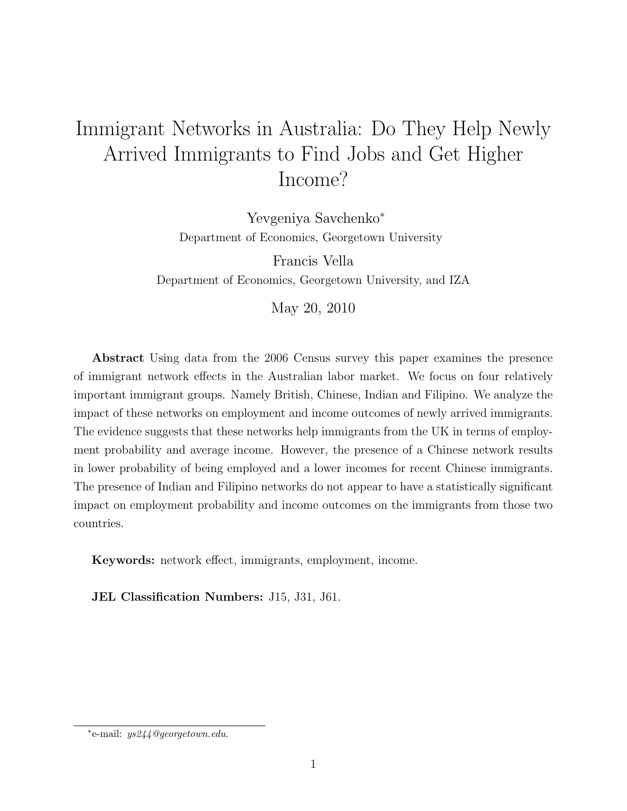# Immigrant Networks in Australia: Do They Help Newly Arrived Immigrants to Find Jobs and Get Higher Income?

Yevgeniya Savchenko<sup>∗</sup> Department of Economics, Georgetown University

Francis Vella Department of Economics, Georgetown University, and IZA

May 20, 2010

Abstract Using data from the 2006 Census survey this paper examines the presence of immigrant network effects in the Australian labor market. We focus on four relatively important immigrant groups. Namely British, Chinese, Indian and Filipino. We analyze the impact of these networks on employment and income outcomes of newly arrived immigrants. The evidence suggests that these networks help immigrants from the UK in terms of employment probability and average income. However, the presence of a Chinese network results in lower probability of being employed and a lower incomes for recent Chinese immigrants. The presence of Indian and Filipino networks do not appear to have a statistically significant impact on employment probability and income outcomes on the immigrants from those two countries.

Keywords: network effect, immigrants, employment, income.

JEL Classification Numbers: J15, J31, J61.

<sup>∗</sup> e-mail: ys244@georgetown.edu.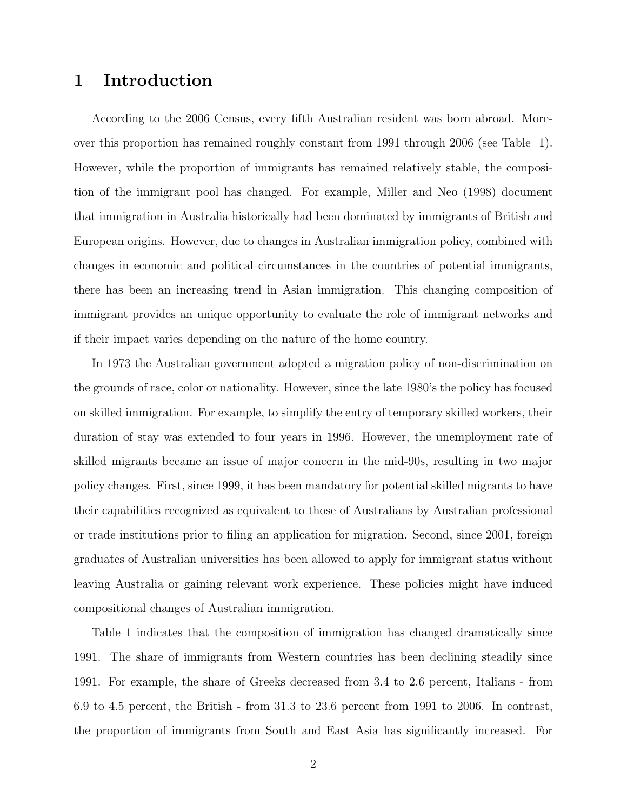### 1 Introduction

According to the 2006 Census, every fifth Australian resident was born abroad. Moreover this proportion has remained roughly constant from 1991 through 2006 (see Table 1). However, while the proportion of immigrants has remained relatively stable, the composition of the immigrant pool has changed. For example, Miller and Neo (1998) document that immigration in Australia historically had been dominated by immigrants of British and European origins. However, due to changes in Australian immigration policy, combined with changes in economic and political circumstances in the countries of potential immigrants, there has been an increasing trend in Asian immigration. This changing composition of immigrant provides an unique opportunity to evaluate the role of immigrant networks and if their impact varies depending on the nature of the home country.

In 1973 the Australian government adopted a migration policy of non-discrimination on the grounds of race, color or nationality. However, since the late 1980's the policy has focused on skilled immigration. For example, to simplify the entry of temporary skilled workers, their duration of stay was extended to four years in 1996. However, the unemployment rate of skilled migrants became an issue of major concern in the mid-90s, resulting in two major policy changes. First, since 1999, it has been mandatory for potential skilled migrants to have their capabilities recognized as equivalent to those of Australians by Australian professional or trade institutions prior to filing an application for migration. Second, since 2001, foreign graduates of Australian universities has been allowed to apply for immigrant status without leaving Australia or gaining relevant work experience. These policies might have induced compositional changes of Australian immigration.

Table 1 indicates that the composition of immigration has changed dramatically since 1991. The share of immigrants from Western countries has been declining steadily since 1991. For example, the share of Greeks decreased from 3.4 to 2.6 percent, Italians - from 6.9 to 4.5 percent, the British - from 31.3 to 23.6 percent from 1991 to 2006. In contrast, the proportion of immigrants from South and East Asia has significantly increased. For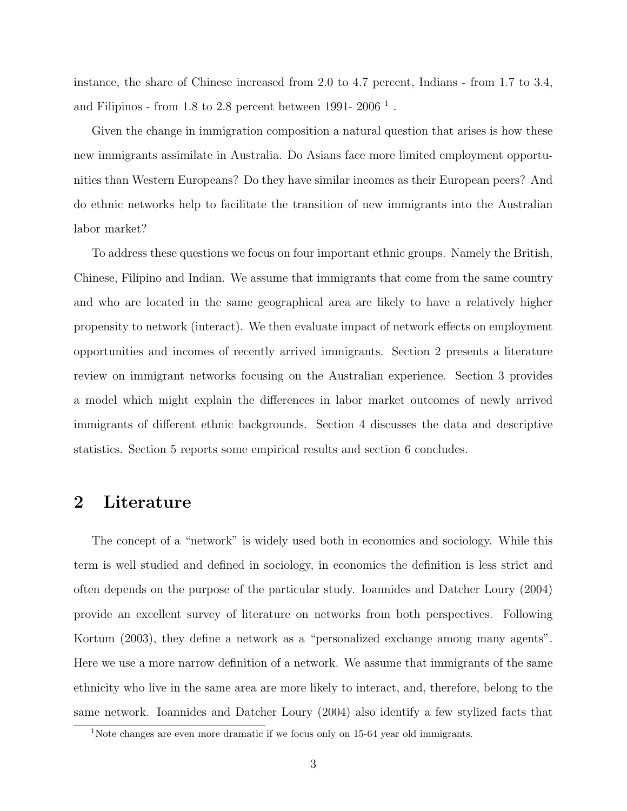instance, the share of Chinese increased from 2.0 to 4.7 percent, Indians - from 1.7 to 3.4, and Filipinos - from 1.8 to 2.8 percent between 1991- 2006<sup> $1$ </sup>.

Given the change in immigration composition a natural question that arises is how these new immigrants assimilate in Australia. Do Asians face more limited employment opportunities than Western Europeans? Do they have similar incomes as their European peers? And do ethnic networks help to facilitate the transition of new immigrants into the Australian labor market?

To address these questions we focus on four important ethnic groups. Namely the British, Chinese, Filipino and Indian. We assume that immigrants that come from the same country and who are located in the same geographical area are likely to have a relatively higher propensity to network (interact). We then evaluate impact of network effects on employment opportunities and incomes of recently arrived immigrants. Section 2 presents a literature review on immigrant networks focusing on the Australian experience. Section 3 provides a model which might explain the differences in labor market outcomes of newly arrived immigrants of different ethnic backgrounds. Section 4 discusses the data and descriptive statistics. Section 5 reports some empirical results and section 6 concludes.

### 2 Literature

The concept of a "network" is widely used both in economics and sociology. While this term is well studied and defined in sociology, in economics the definition is less strict and often depends on the purpose of the particular study. Ioannides and Datcher Loury (2004) provide an excellent survey of literature on networks from both perspectives. Following Kortum (2003), they define a network as a "personalized exchange among many agents". Here we use a more narrow definition of a network. We assume that immigrants of the same ethnicity who live in the same area are more likely to interact, and, therefore, belong to the same network. Ioannides and Datcher Loury (2004) also identify a few stylized facts that

<sup>&</sup>lt;sup>1</sup>Note changes are even more dramatic if we focus only on 15-64 year old immigrants.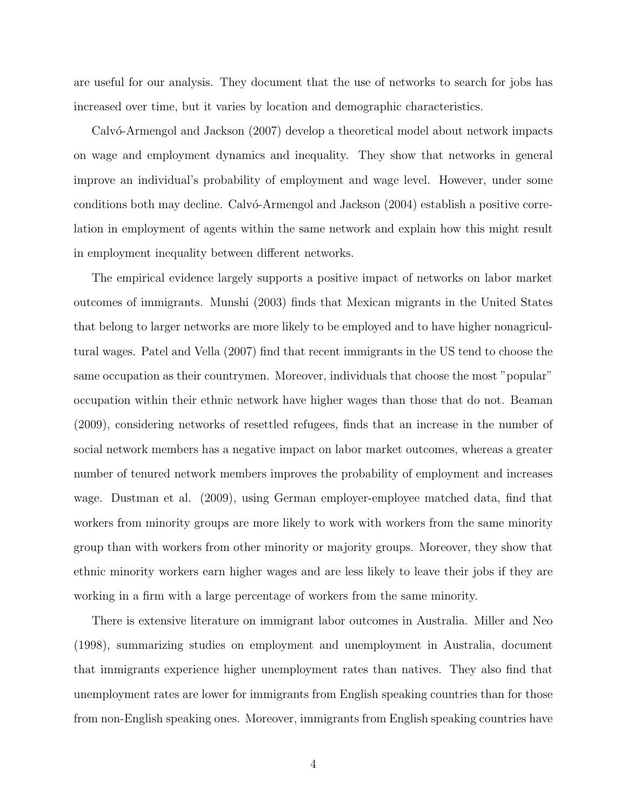are useful for our analysis. They document that the use of networks to search for jobs has increased over time, but it varies by location and demographic characteristics.

Calvó-Armengol and Jackson (2007) develop a theoretical model about network impacts on wage and employment dynamics and inequality. They show that networks in general improve an individual's probability of employment and wage level. However, under some conditions both may decline. Calvo-Armengol and Jackson (2004) establish a positive correlation in employment of agents within the same network and explain how this might result in employment inequality between different networks.

The empirical evidence largely supports a positive impact of networks on labor market outcomes of immigrants. Munshi (2003) finds that Mexican migrants in the United States that belong to larger networks are more likely to be employed and to have higher nonagricultural wages. Patel and Vella (2007) find that recent immigrants in the US tend to choose the same occupation as their countrymen. Moreover, individuals that choose the most "popular" occupation within their ethnic network have higher wages than those that do not. Beaman (2009), considering networks of resettled refugees, finds that an increase in the number of social network members has a negative impact on labor market outcomes, whereas a greater number of tenured network members improves the probability of employment and increases wage. Dustman et al. (2009), using German employer-employee matched data, find that workers from minority groups are more likely to work with workers from the same minority group than with workers from other minority or majority groups. Moreover, they show that ethnic minority workers earn higher wages and are less likely to leave their jobs if they are working in a firm with a large percentage of workers from the same minority.

There is extensive literature on immigrant labor outcomes in Australia. Miller and Neo (1998), summarizing studies on employment and unemployment in Australia, document that immigrants experience higher unemployment rates than natives. They also find that unemployment rates are lower for immigrants from English speaking countries than for those from non-English speaking ones. Moreover, immigrants from English speaking countries have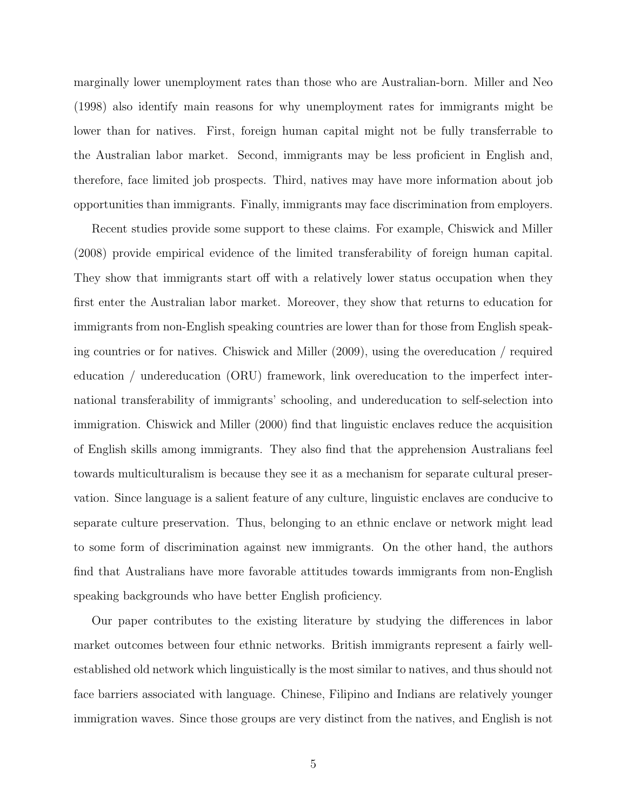marginally lower unemployment rates than those who are Australian-born. Miller and Neo (1998) also identify main reasons for why unemployment rates for immigrants might be lower than for natives. First, foreign human capital might not be fully transferrable to the Australian labor market. Second, immigrants may be less proficient in English and, therefore, face limited job prospects. Third, natives may have more information about job opportunities than immigrants. Finally, immigrants may face discrimination from employers.

Recent studies provide some support to these claims. For example, Chiswick and Miller (2008) provide empirical evidence of the limited transferability of foreign human capital. They show that immigrants start off with a relatively lower status occupation when they first enter the Australian labor market. Moreover, they show that returns to education for immigrants from non-English speaking countries are lower than for those from English speaking countries or for natives. Chiswick and Miller (2009), using the overeducation / required education / undereducation (ORU) framework, link overeducation to the imperfect international transferability of immigrants' schooling, and undereducation to self-selection into immigration. Chiswick and Miller (2000) find that linguistic enclaves reduce the acquisition of English skills among immigrants. They also find that the apprehension Australians feel towards multiculturalism is because they see it as a mechanism for separate cultural preservation. Since language is a salient feature of any culture, linguistic enclaves are conducive to separate culture preservation. Thus, belonging to an ethnic enclave or network might lead to some form of discrimination against new immigrants. On the other hand, the authors find that Australians have more favorable attitudes towards immigrants from non-English speaking backgrounds who have better English proficiency.

Our paper contributes to the existing literature by studying the differences in labor market outcomes between four ethnic networks. British immigrants represent a fairly wellestablished old network which linguistically is the most similar to natives, and thus should not face barriers associated with language. Chinese, Filipino and Indians are relatively younger immigration waves. Since those groups are very distinct from the natives, and English is not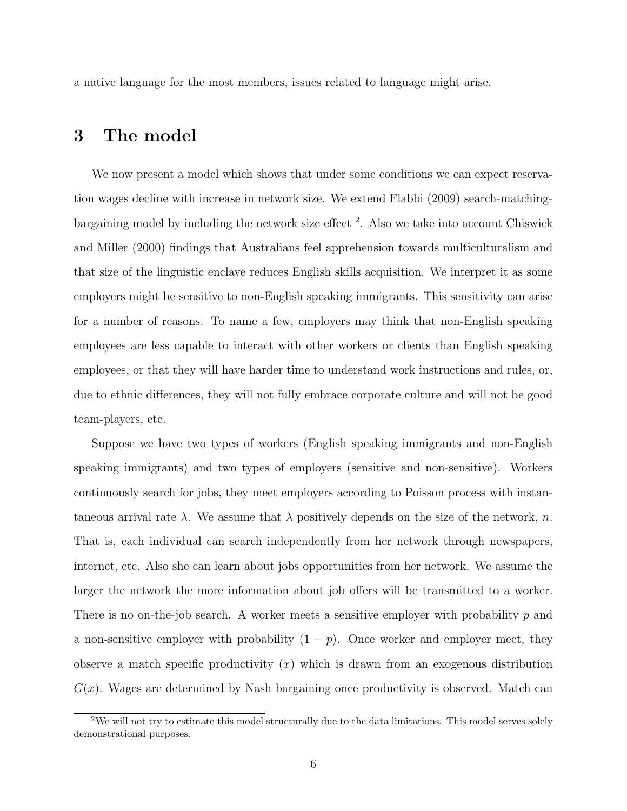a native language for the most members, issues related to language might arise.

#### 3 The model

We now present a model which shows that under some conditions we can expect reservation wages decline with increase in network size. We extend Flabbi (2009) search-matchingbargaining model by including the network size effect<sup>2</sup>. Also we take into account Chiswick and Miller (2000) findings that Australians feel apprehension towards multiculturalism and that size of the linguistic enclave reduces English skills acquisition. We interpret it as some employers might be sensitive to non-English speaking immigrants. This sensitivity can arise for a number of reasons. To name a few, employers may think that non-English speaking employees are less capable to interact with other workers or clients than English speaking employees, or that they will have harder time to understand work instructions and rules, or, due to ethnic differences, they will not fully embrace corporate culture and will not be good team-players, etc.

Suppose we have two types of workers (English speaking immigrants and non-English speaking immigrants) and two types of employers (sensitive and non-sensitive). Workers continuously search for jobs, they meet employers according to Poisson process with instantaneous arrival rate  $\lambda$ . We assume that  $\lambda$  positively depends on the size of the network, n. That is, each individual can search independently from her network through newspapers, internet, etc. Also she can learn about jobs opportunities from her network. We assume the larger the network the more information about job offers will be transmitted to a worker. There is no on-the-job search. A worker meets a sensitive employer with probability  $p$  and a non-sensitive employer with probability  $(1 - p)$ . Once worker and employer meet, they observe a match specific productivity  $(x)$  which is drawn from an exogenous distribution  $G(x)$ . Wages are determined by Nash bargaining once productivity is observed. Match can

<sup>&</sup>lt;sup>2</sup>We will not try to estimate this model structurally due to the data limitations. This model serves solely demonstrational purposes.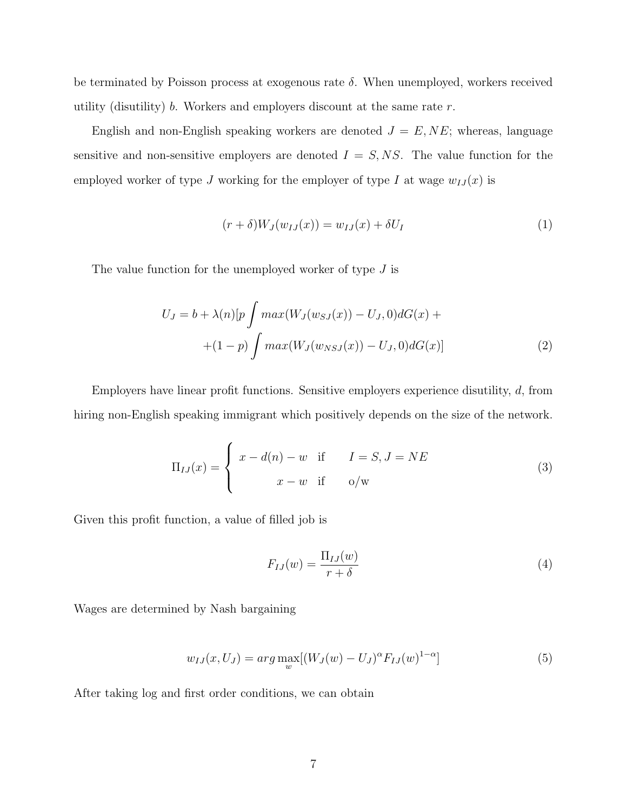be terminated by Poisson process at exogenous rate  $\delta$ . When unemployed, workers received utility (disutility) b. Workers and employers discount at the same rate  $r$ .

English and non-English speaking workers are denoted  $J = E, NE$ ; whereas, language sensitive and non-sensitive employers are denoted  $I = S, NS$ . The value function for the employed worker of type J working for the employer of type I at wage  $w_{IJ}(x)$  is

$$
(r+\delta)W_J(w_{IJ}(x)) = w_{IJ}(x) + \delta U_I \tag{1}
$$

The value function for the unemployed worker of type  $J$  is

$$
U_J = b + \lambda(n)[p \int max(W_J(w_{SJ}(x)) - U_J, 0) dG(x) +
$$
  
+(1-p)  $\int max(W_J(w_{NSJ}(x)) - U_J, 0) dG(x)]$  (2)

Employers have linear profit functions. Sensitive employers experience disutility, d, from hiring non-English speaking immigrant which positively depends on the size of the network.

$$
\Pi_{IJ}(x) = \begin{cases}\nx - d(n) - w & \text{if } I = S, J = NE \\
x - w & \text{if } o/w\n\end{cases}
$$
\n(3)

Given this profit function, a value of filled job is

$$
F_{IJ}(w) = \frac{\Pi_{IJ}(w)}{r+\delta} \tag{4}
$$

Wages are determined by Nash bargaining

$$
w_{IJ}(x, U_J) = arg \max_{w} [(W_J(w) - U_J)^{\alpha} F_{IJ}(w)^{1-\alpha}]
$$
\n(5)

After taking log and first order conditions, we can obtain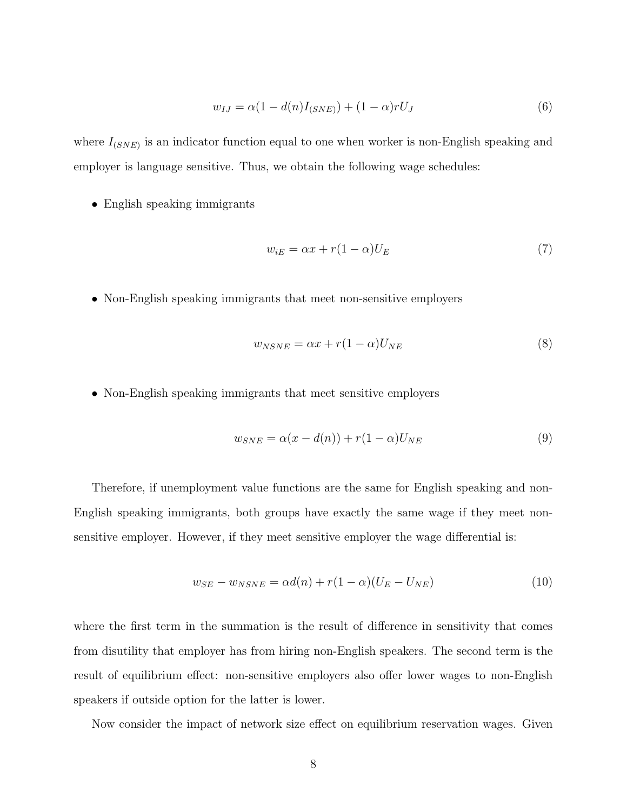$$
w_{IJ} = \alpha (1 - d(n)I_{(SNE)}) + (1 - \alpha)rU_J
$$
\n(6)

where  $I_{(SNE)}$  is an indicator function equal to one when worker is non-English speaking and employer is language sensitive. Thus, we obtain the following wage schedules:

• English speaking immigrants

$$
w_{iE} = \alpha x + r(1 - \alpha)U_E \tag{7}
$$

• Non-English speaking immigrants that meet non-sensitive employers

$$
w_{NSNE} = \alpha x + r(1 - \alpha)U_{NE}
$$
\n<sup>(8)</sup>

• Non-English speaking immigrants that meet sensitive employers

$$
w_{SNE} = \alpha(x - d(n)) + r(1 - \alpha)U_{NE}
$$
\n(9)

Therefore, if unemployment value functions are the same for English speaking and non-English speaking immigrants, both groups have exactly the same wage if they meet nonsensitive employer. However, if they meet sensitive employer the wage differential is:

$$
w_{SE} - w_{NSNE} = \alpha d(n) + r(1 - \alpha)(U_E - U_{NE})
$$
\n<sup>(10)</sup>

where the first term in the summation is the result of difference in sensitivity that comes from disutility that employer has from hiring non-English speakers. The second term is the result of equilibrium effect: non-sensitive employers also offer lower wages to non-English speakers if outside option for the latter is lower.

Now consider the impact of network size effect on equilibrium reservation wages. Given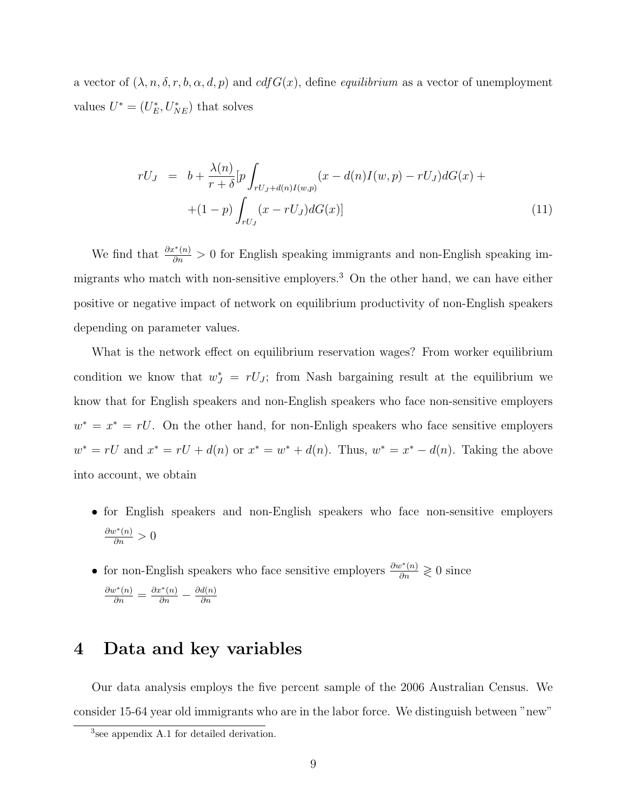a vector of  $(\lambda, n, \delta, r, b, \alpha, d, p)$  and  $cdfG(x)$ , define *equilibrium* as a vector of unemployment values  $U^* = (U_E^*, U_{NE}^*)$  that solves

$$
rU_J = b + \frac{\lambda(n)}{r + \delta} \left[ p \int_{rU_J + d(n)I(w,p)} (x - d(n)I(w,p) - rU_J) dG(x) + \right. \\ \left. + (1 - p) \int_{rU_J} (x - rU_J) dG(x) \right]
$$
 (11)

We find that  $\frac{\partial x^*(n)}{\partial n} > 0$  for English speaking immigrants and non-English speaking immigrants who match with non-sensitive employers.<sup>3</sup> On the other hand, we can have either positive or negative impact of network on equilibrium productivity of non-English speakers depending on parameter values.

What is the network effect on equilibrium reservation wages? From worker equilibrium condition we know that  $w_J^* = rU_J$ ; from Nash bargaining result at the equilibrium we know that for English speakers and non-English speakers who face non-sensitive employers  $w^* = x^* = rU$ . On the other hand, for non-Enligh speakers who face sensitive employers  $w^* = rU$  and  $x^* = rU + d(n)$  or  $x^* = w^* + d(n)$ . Thus,  $w^* = x^* - d(n)$ . Taking the above into account, we obtain

- for English speakers and non-English speakers who face non-sensitive employers  $\frac{\partial w^*(n)}{\partial n} > 0$
- for non-English speakers who face sensitive employers  $\frac{\partial w^*(n)}{\partial n} \geq 0$  since  $\frac{\partial w^*(n)}{\partial n} = \frac{\partial x^*(n)}{\partial n} - \frac{\partial d(n)}{\partial n}$ ∂n

### 4 Data and key variables

Our data analysis employs the five percent sample of the 2006 Australian Census. We consider 15-64 year old immigrants who are in the labor force. We distinguish between "new"

<sup>3</sup> see appendix A.1 for detailed derivation.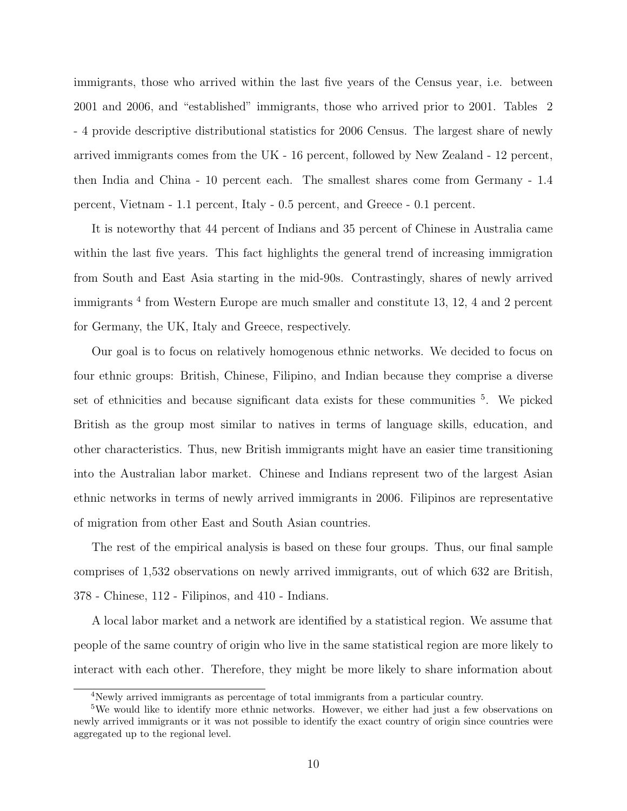immigrants, those who arrived within the last five years of the Census year, i.e. between 2001 and 2006, and "established" immigrants, those who arrived prior to 2001. Tables 2 - 4 provide descriptive distributional statistics for 2006 Census. The largest share of newly arrived immigrants comes from the UK - 16 percent, followed by New Zealand - 12 percent, then India and China - 10 percent each. The smallest shares come from Germany - 1.4 percent, Vietnam - 1.1 percent, Italy - 0.5 percent, and Greece - 0.1 percent.

It is noteworthy that 44 percent of Indians and 35 percent of Chinese in Australia came within the last five years. This fact highlights the general trend of increasing immigration from South and East Asia starting in the mid-90s. Contrastingly, shares of newly arrived immigrants<sup>4</sup> from Western Europe are much smaller and constitute 13, 12, 4 and 2 percent for Germany, the UK, Italy and Greece, respectively.

Our goal is to focus on relatively homogenous ethnic networks. We decided to focus on four ethnic groups: British, Chinese, Filipino, and Indian because they comprise a diverse set of ethnicities and because significant data exists for these communities <sup>5</sup>. We picked British as the group most similar to natives in terms of language skills, education, and other characteristics. Thus, new British immigrants might have an easier time transitioning into the Australian labor market. Chinese and Indians represent two of the largest Asian ethnic networks in terms of newly arrived immigrants in 2006. Filipinos are representative of migration from other East and South Asian countries.

The rest of the empirical analysis is based on these four groups. Thus, our final sample comprises of 1,532 observations on newly arrived immigrants, out of which 632 are British, 378 - Chinese, 112 - Filipinos, and 410 - Indians.

A local labor market and a network are identified by a statistical region. We assume that people of the same country of origin who live in the same statistical region are more likely to interact with each other. Therefore, they might be more likely to share information about

<sup>4</sup>Newly arrived immigrants as percentage of total immigrants from a particular country.

<sup>&</sup>lt;sup>5</sup>We would like to identify more ethnic networks. However, we either had just a few observations on newly arrived immigrants or it was not possible to identify the exact country of origin since countries were aggregated up to the regional level.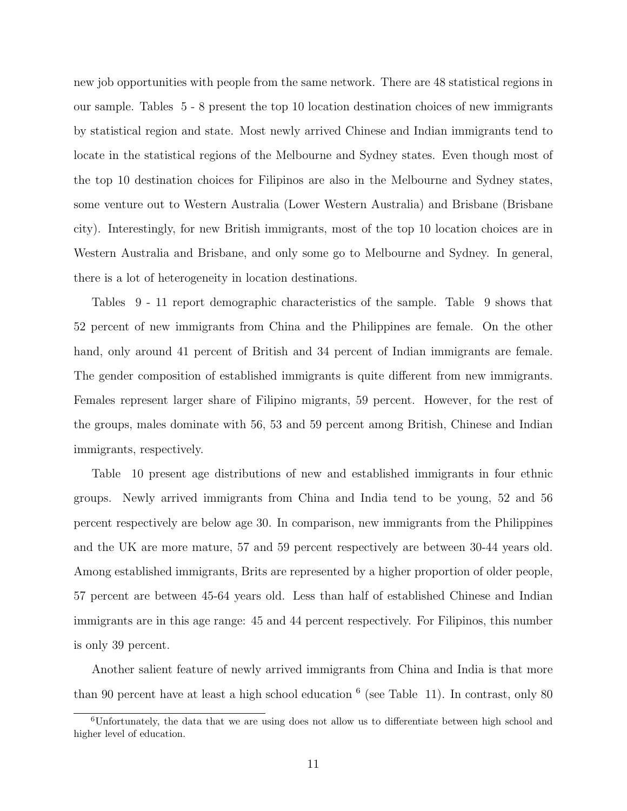new job opportunities with people from the same network. There are 48 statistical regions in our sample. Tables 5 - 8 present the top 10 location destination choices of new immigrants by statistical region and state. Most newly arrived Chinese and Indian immigrants tend to locate in the statistical regions of the Melbourne and Sydney states. Even though most of the top 10 destination choices for Filipinos are also in the Melbourne and Sydney states, some venture out to Western Australia (Lower Western Australia) and Brisbane (Brisbane city). Interestingly, for new British immigrants, most of the top 10 location choices are in Western Australia and Brisbane, and only some go to Melbourne and Sydney. In general, there is a lot of heterogeneity in location destinations.

Tables 9 - 11 report demographic characteristics of the sample. Table 9 shows that 52 percent of new immigrants from China and the Philippines are female. On the other hand, only around 41 percent of British and 34 percent of Indian immigrants are female. The gender composition of established immigrants is quite different from new immigrants. Females represent larger share of Filipino migrants, 59 percent. However, for the rest of the groups, males dominate with 56, 53 and 59 percent among British, Chinese and Indian immigrants, respectively.

Table 10 present age distributions of new and established immigrants in four ethnic groups. Newly arrived immigrants from China and India tend to be young, 52 and 56 percent respectively are below age 30. In comparison, new immigrants from the Philippines and the UK are more mature, 57 and 59 percent respectively are between 30-44 years old. Among established immigrants, Brits are represented by a higher proportion of older people, 57 percent are between 45-64 years old. Less than half of established Chinese and Indian immigrants are in this age range: 45 and 44 percent respectively. For Filipinos, this number is only 39 percent.

Another salient feature of newly arrived immigrants from China and India is that more than 90 percent have at least a high school education <sup>6</sup> (see Table 11). In contrast, only 80

<sup>6</sup>Unfortunately, the data that we are using does not allow us to differentiate between high school and higher level of education.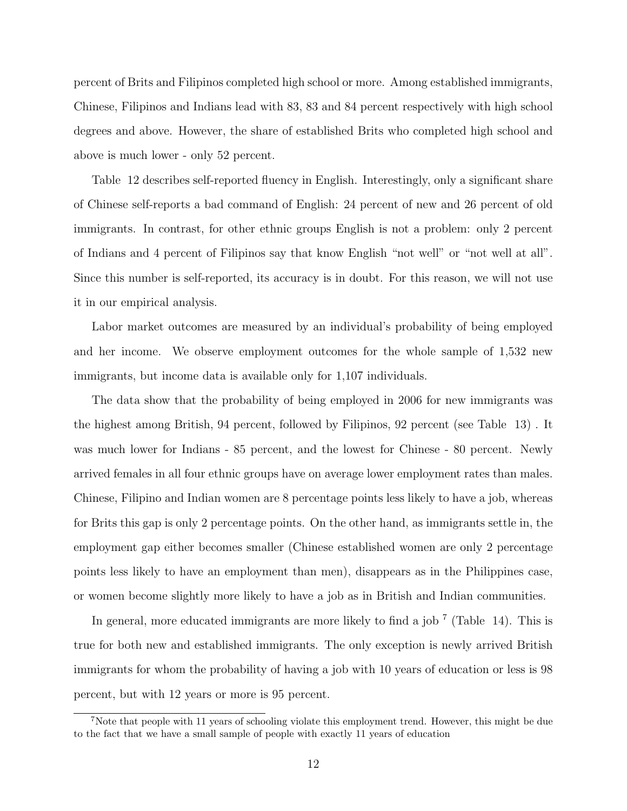percent of Brits and Filipinos completed high school or more. Among established immigrants, Chinese, Filipinos and Indians lead with 83, 83 and 84 percent respectively with high school degrees and above. However, the share of established Brits who completed high school and above is much lower - only 52 percent.

Table 12 describes self-reported fluency in English. Interestingly, only a significant share of Chinese self-reports a bad command of English: 24 percent of new and 26 percent of old immigrants. In contrast, for other ethnic groups English is not a problem: only 2 percent of Indians and 4 percent of Filipinos say that know English "not well" or "not well at all". Since this number is self-reported, its accuracy is in doubt. For this reason, we will not use it in our empirical analysis.

Labor market outcomes are measured by an individual's probability of being employed and her income. We observe employment outcomes for the whole sample of 1,532 new immigrants, but income data is available only for 1,107 individuals.

The data show that the probability of being employed in 2006 for new immigrants was the highest among British, 94 percent, followed by Filipinos, 92 percent (see Table 13) . It was much lower for Indians - 85 percent, and the lowest for Chinese - 80 percent. Newly arrived females in all four ethnic groups have on average lower employment rates than males. Chinese, Filipino and Indian women are 8 percentage points less likely to have a job, whereas for Brits this gap is only 2 percentage points. On the other hand, as immigrants settle in, the employment gap either becomes smaller (Chinese established women are only 2 percentage points less likely to have an employment than men), disappears as in the Philippines case, or women become slightly more likely to have a job as in British and Indian communities.

In general, more educated immigrants are more likely to find a job<sup>7</sup> (Table 14). This is true for both new and established immigrants. The only exception is newly arrived British immigrants for whom the probability of having a job with 10 years of education or less is 98 percent, but with 12 years or more is 95 percent.

<sup>&</sup>lt;sup>7</sup>Note that people with 11 years of schooling violate this employment trend. However, this might be due to the fact that we have a small sample of people with exactly 11 years of education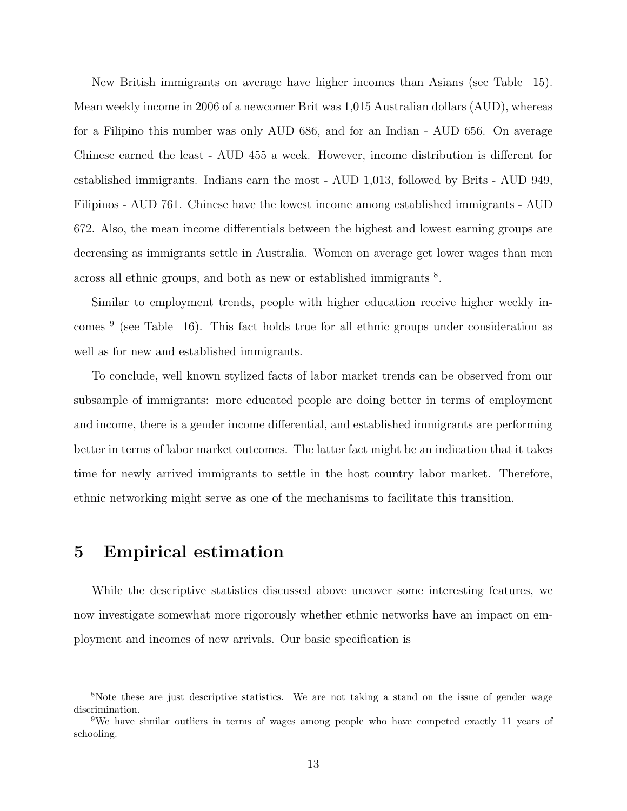New British immigrants on average have higher incomes than Asians (see Table 15). Mean weekly income in 2006 of a newcomer Brit was 1,015 Australian dollars (AUD), whereas for a Filipino this number was only AUD 686, and for an Indian - AUD 656. On average Chinese earned the least - AUD 455 a week. However, income distribution is different for established immigrants. Indians earn the most - AUD 1,013, followed by Brits - AUD 949, Filipinos - AUD 761. Chinese have the lowest income among established immigrants - AUD 672. Also, the mean income differentials between the highest and lowest earning groups are decreasing as immigrants settle in Australia. Women on average get lower wages than men across all ethnic groups, and both as new or established immigrants  $8$ .

Similar to employment trends, people with higher education receive higher weekly incomes <sup>9</sup> (see Table 16). This fact holds true for all ethnic groups under consideration as well as for new and established immigrants.

To conclude, well known stylized facts of labor market trends can be observed from our subsample of immigrants: more educated people are doing better in terms of employment and income, there is a gender income differential, and established immigrants are performing better in terms of labor market outcomes. The latter fact might be an indication that it takes time for newly arrived immigrants to settle in the host country labor market. Therefore, ethnic networking might serve as one of the mechanisms to facilitate this transition.

#### 5 Empirical estimation

While the descriptive statistics discussed above uncover some interesting features, we now investigate somewhat more rigorously whether ethnic networks have an impact on employment and incomes of new arrivals. Our basic specification is

<sup>&</sup>lt;sup>8</sup>Note these are just descriptive statistics. We are not taking a stand on the issue of gender wage discrimination.

<sup>9</sup>We have similar outliers in terms of wages among people who have competed exactly 11 years of schooling.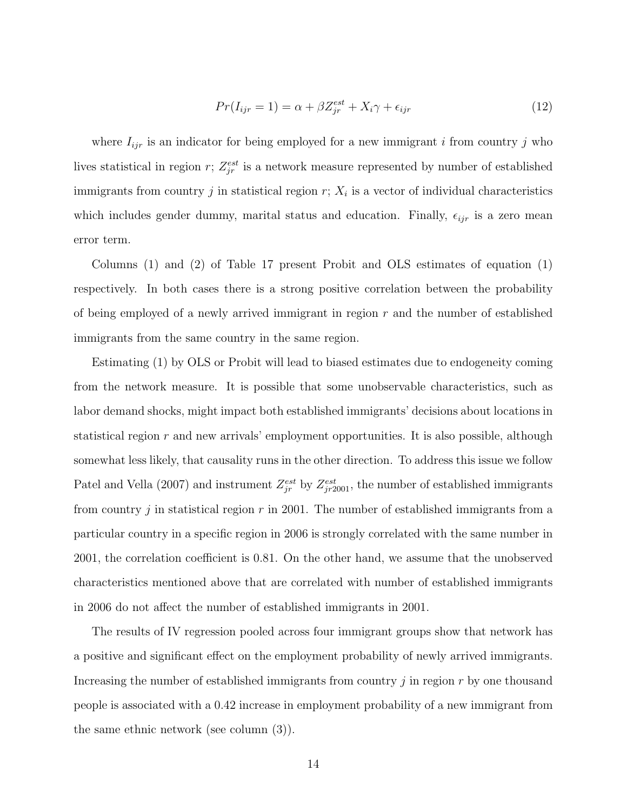$$
Pr(I_{ijr} = 1) = \alpha + \beta Z_{jr}^{est} + X_i \gamma + \epsilon_{ijr}
$$
\n
$$
(12)
$$

where  $I_{ijr}$  is an indicator for being employed for a new immigrant i from country j who lives statistical in region r;  $Z_{jr}^{est}$  is a network measure represented by number of established immigrants from country  $j$  in statistical region  $r$ ;  $X_i$  is a vector of individual characteristics which includes gender dummy, marital status and education. Finally,  $\epsilon_{ijr}$  is a zero mean error term.

Columns (1) and (2) of Table 17 present Probit and OLS estimates of equation (1) respectively. In both cases there is a strong positive correlation between the probability of being employed of a newly arrived immigrant in region  $r$  and the number of established immigrants from the same country in the same region.

Estimating (1) by OLS or Probit will lead to biased estimates due to endogeneity coming from the network measure. It is possible that some unobservable characteristics, such as labor demand shocks, might impact both established immigrants' decisions about locations in statistical region  $r$  and new arrivals' employment opportunities. It is also possible, although somewhat less likely, that causality runs in the other direction. To address this issue we follow Patel and Vella (2007) and instrument  $Z_{jr}^{est}$  by  $Z_{jr2001}^{est}$ , the number of established immigrants from country j in statistical region r in 2001. The number of established immigrants from a particular country in a specific region in 2006 is strongly correlated with the same number in 2001, the correlation coefficient is 0.81. On the other hand, we assume that the unobserved characteristics mentioned above that are correlated with number of established immigrants in 2006 do not affect the number of established immigrants in 2001.

The results of IV regression pooled across four immigrant groups show that network has a positive and significant effect on the employment probability of newly arrived immigrants. Increasing the number of established immigrants from country  $j$  in region  $r$  by one thousand people is associated with a 0.42 increase in employment probability of a new immigrant from the same ethnic network (see column (3)).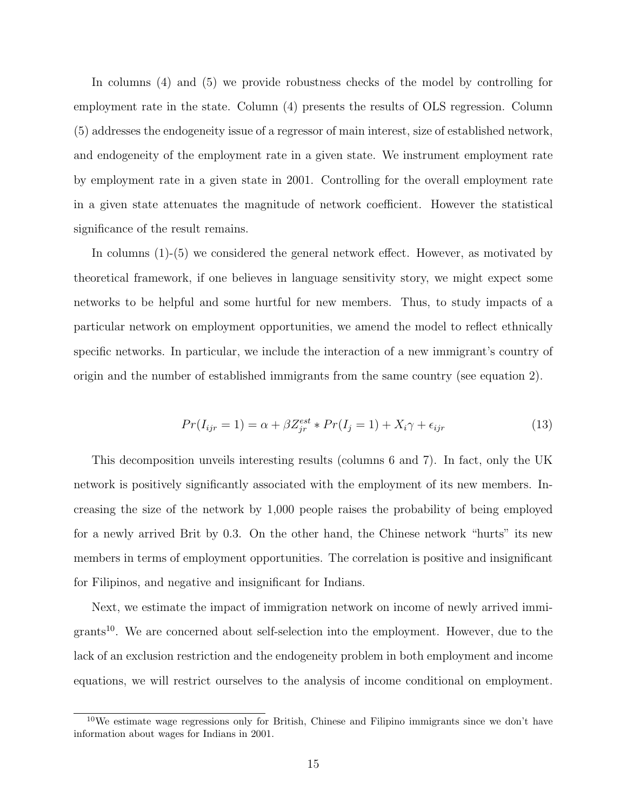In columns (4) and (5) we provide robustness checks of the model by controlling for employment rate in the state. Column (4) presents the results of OLS regression. Column (5) addresses the endogeneity issue of a regressor of main interest, size of established network, and endogeneity of the employment rate in a given state. We instrument employment rate by employment rate in a given state in 2001. Controlling for the overall employment rate in a given state attenuates the magnitude of network coefficient. However the statistical significance of the result remains.

In columns (1)-(5) we considered the general network effect. However, as motivated by theoretical framework, if one believes in language sensitivity story, we might expect some networks to be helpful and some hurtful for new members. Thus, to study impacts of a particular network on employment opportunities, we amend the model to reflect ethnically specific networks. In particular, we include the interaction of a new immigrant's country of origin and the number of established immigrants from the same country (see equation 2).

$$
Pr(I_{ijr} = 1) = \alpha + \beta Z_{jr}^{est} * Pr(I_j = 1) + X_i \gamma + \epsilon_{ijr}
$$
\n(13)

This decomposition unveils interesting results (columns 6 and 7). In fact, only the UK network is positively significantly associated with the employment of its new members. Increasing the size of the network by 1,000 people raises the probability of being employed for a newly arrived Brit by 0.3. On the other hand, the Chinese network "hurts" its new members in terms of employment opportunities. The correlation is positive and insignificant for Filipinos, and negative and insignificant for Indians.

Next, we estimate the impact of immigration network on income of newly arrived immi $grants<sup>10</sup>$ . We are concerned about self-selection into the employment. However, due to the lack of an exclusion restriction and the endogeneity problem in both employment and income equations, we will restrict ourselves to the analysis of income conditional on employment.

 $10$ We estimate wage regressions only for British, Chinese and Filipino immigrants since we don't have information about wages for Indians in 2001.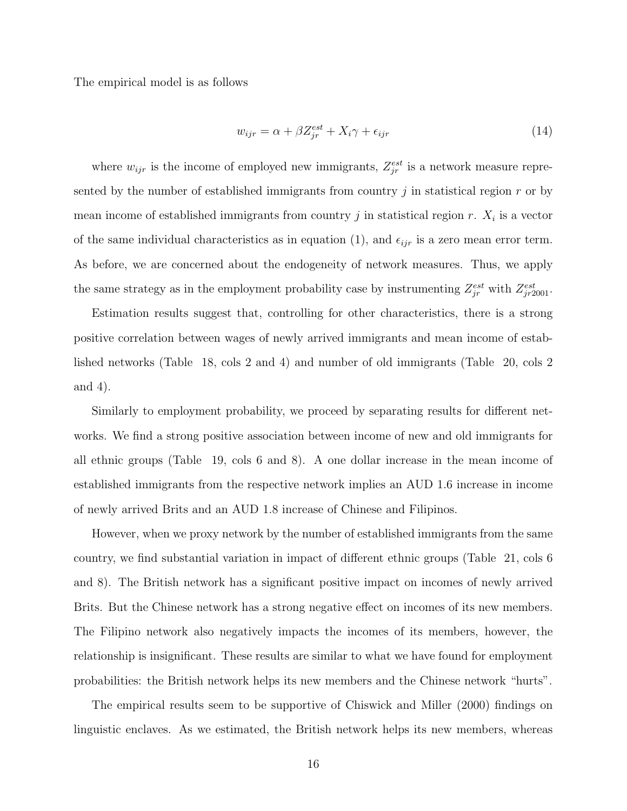The empirical model is as follows

$$
w_{ijr} = \alpha + \beta Z_{jr}^{est} + X_i \gamma + \epsilon_{ijr}
$$
\n<sup>(14)</sup>

where  $w_{ijr}$  is the income of employed new immigrants,  $Z_{jr}^{est}$  is a network measure represented by the number of established immigrants from country  $j$  in statistical region  $r$  or by mean income of established immigrants from country  $j$  in statistical region  $r$ .  $X_i$  is a vector of the same individual characteristics as in equation (1), and  $\epsilon_{ijr}$  is a zero mean error term. As before, we are concerned about the endogeneity of network measures. Thus, we apply the same strategy as in the employment probability case by instrumenting  $Z_{jr}^{est}$  with  $Z_{jr2001}^{est}$ .

Estimation results suggest that, controlling for other characteristics, there is a strong positive correlation between wages of newly arrived immigrants and mean income of established networks (Table 18, cols 2 and 4) and number of old immigrants (Table 20, cols 2 and 4).

Similarly to employment probability, we proceed by separating results for different networks. We find a strong positive association between income of new and old immigrants for all ethnic groups (Table 19, cols 6 and 8). A one dollar increase in the mean income of established immigrants from the respective network implies an AUD 1.6 increase in income of newly arrived Brits and an AUD 1.8 increase of Chinese and Filipinos.

However, when we proxy network by the number of established immigrants from the same country, we find substantial variation in impact of different ethnic groups (Table 21, cols 6 and 8). The British network has a significant positive impact on incomes of newly arrived Brits. But the Chinese network has a strong negative effect on incomes of its new members. The Filipino network also negatively impacts the incomes of its members, however, the relationship is insignificant. These results are similar to what we have found for employment probabilities: the British network helps its new members and the Chinese network "hurts".

The empirical results seem to be supportive of Chiswick and Miller (2000) findings on linguistic enclaves. As we estimated, the British network helps its new members, whereas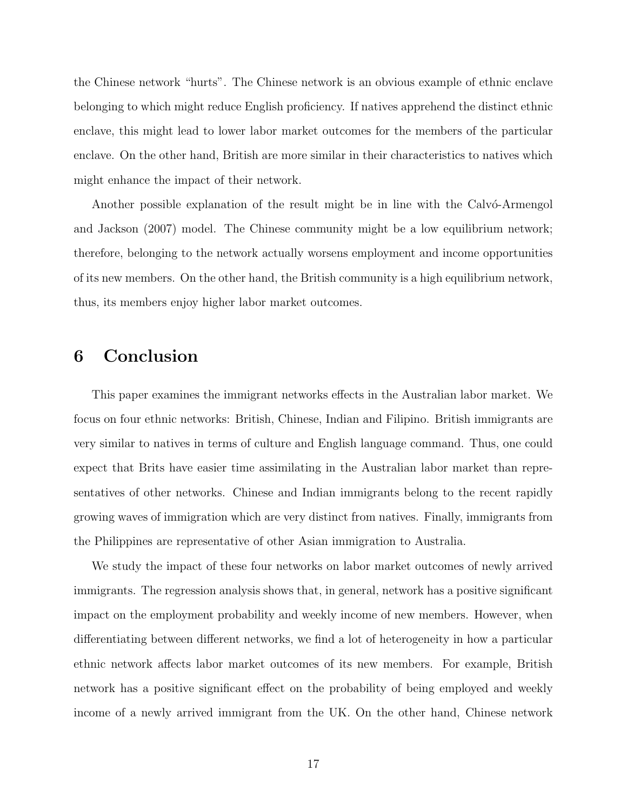the Chinese network "hurts". The Chinese network is an obvious example of ethnic enclave belonging to which might reduce English proficiency. If natives apprehend the distinct ethnic enclave, this might lead to lower labor market outcomes for the members of the particular enclave. On the other hand, British are more similar in their characteristics to natives which might enhance the impact of their network.

Another possible explanation of the result might be in line with the Calvo-Armengol and Jackson (2007) model. The Chinese community might be a low equilibrium network; therefore, belonging to the network actually worsens employment and income opportunities of its new members. On the other hand, the British community is a high equilibrium network, thus, its members enjoy higher labor market outcomes.

## 6 Conclusion

This paper examines the immigrant networks effects in the Australian labor market. We focus on four ethnic networks: British, Chinese, Indian and Filipino. British immigrants are very similar to natives in terms of culture and English language command. Thus, one could expect that Brits have easier time assimilating in the Australian labor market than representatives of other networks. Chinese and Indian immigrants belong to the recent rapidly growing waves of immigration which are very distinct from natives. Finally, immigrants from the Philippines are representative of other Asian immigration to Australia.

We study the impact of these four networks on labor market outcomes of newly arrived immigrants. The regression analysis shows that, in general, network has a positive significant impact on the employment probability and weekly income of new members. However, when differentiating between different networks, we find a lot of heterogeneity in how a particular ethnic network affects labor market outcomes of its new members. For example, British network has a positive significant effect on the probability of being employed and weekly income of a newly arrived immigrant from the UK. On the other hand, Chinese network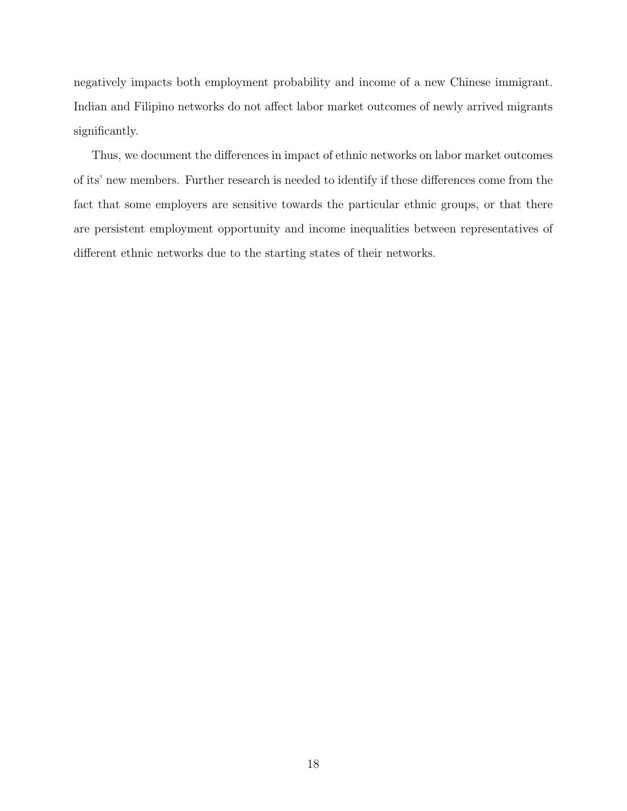negatively impacts both employment probability and income of a new Chinese immigrant. Indian and Filipino networks do not affect labor market outcomes of newly arrived migrants significantly.

Thus, we document the differences in impact of ethnic networks on labor market outcomes of its' new members. Further research is needed to identify if these differences come from the fact that some employers are sensitive towards the particular ethnic groups, or that there are persistent employment opportunity and income inequalities between representatives of different ethnic networks due to the starting states of their networks.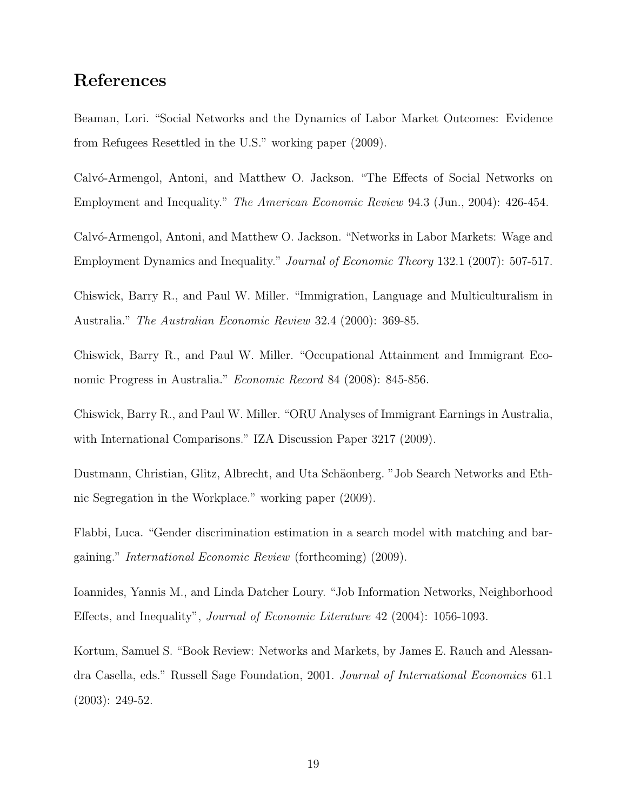## References

Beaman, Lori. "Social Networks and the Dynamics of Labor Market Outcomes: Evidence from Refugees Resettled in the U.S." working paper (2009).

Calvó-Armengol, Antoni, and Matthew O. Jackson. "The Effects of Social Networks on Employment and Inequality." The American Economic Review 94.3 (Jun., 2004): 426-454.

Calvó-Armengol, Antoni, and Matthew O. Jackson. "Networks in Labor Markets: Wage and Employment Dynamics and Inequality." Journal of Economic Theory 132.1 (2007): 507-517.

Chiswick, Barry R., and Paul W. Miller. "Immigration, Language and Multiculturalism in Australia." The Australian Economic Review 32.4 (2000): 369-85.

Chiswick, Barry R., and Paul W. Miller. "Occupational Attainment and Immigrant Economic Progress in Australia." Economic Record 84 (2008): 845-856.

Chiswick, Barry R., and Paul W. Miller. "ORU Analyses of Immigrant Earnings in Australia, with International Comparisons." IZA Discussion Paper 3217 (2009).

Dustmann, Christian, Glitz, Albrecht, and Uta Schäonberg. "Job Search Networks and Ethnic Segregation in the Workplace." working paper (2009).

Flabbi, Luca. "Gender discrimination estimation in a search model with matching and bargaining." International Economic Review (forthcoming) (2009).

Ioannides, Yannis M., and Linda Datcher Loury. "Job Information Networks, Neighborhood Effects, and Inequality", Journal of Economic Literature 42 (2004): 1056-1093.

Kortum, Samuel S. "Book Review: Networks and Markets, by James E. Rauch and Alessandra Casella, eds." Russell Sage Foundation, 2001. Journal of International Economics 61.1 (2003): 249-52.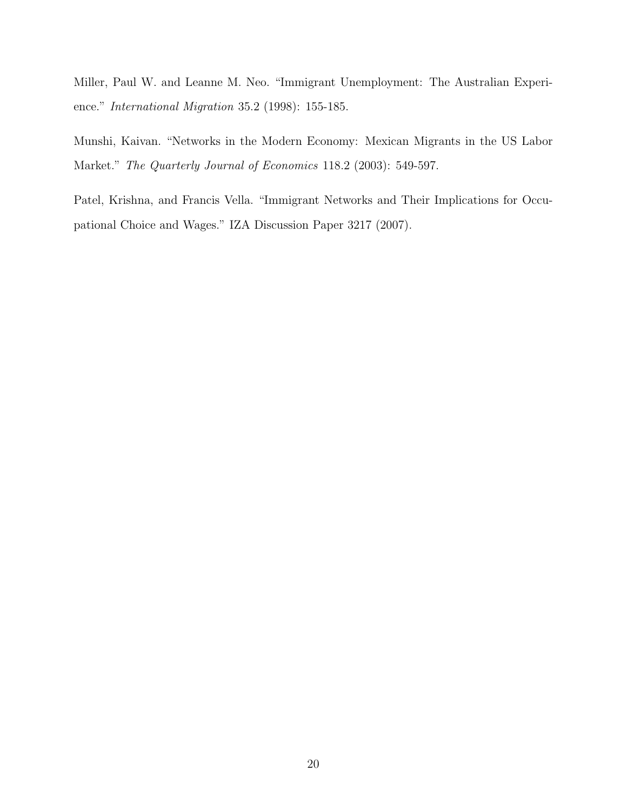Miller, Paul W. and Leanne M. Neo. "Immigrant Unemployment: The Australian Experience." International Migration 35.2 (1998): 155-185.

Munshi, Kaivan. "Networks in the Modern Economy: Mexican Migrants in the US Labor Market." The Quarterly Journal of Economics 118.2 (2003): 549-597.

Patel, Krishna, and Francis Vella. "Immigrant Networks and Their Implications for Occupational Choice and Wages." IZA Discussion Paper 3217 (2007).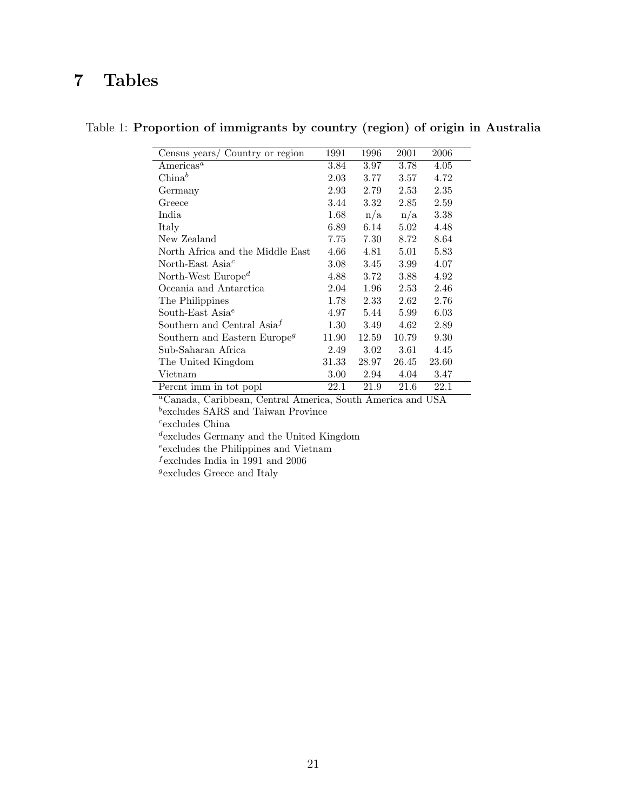## 7 Tables

| Census years/ Country or region             | 1991  | 1996     | 2001  | 2006  |
|---------------------------------------------|-------|----------|-------|-------|
| Americas <sup>a</sup>                       | 3.84  | 3.97     | 3.78  | 4.05  |
| $China^b$                                   | 2.03  | 3.77     | 3.57  | 4.72  |
| Germany                                     | 2.93  | 2.79     | 2.53  | 2.35  |
| Greece                                      | 3.44  | 3.32     | 2.85  | 2.59  |
| India                                       | 1.68  | n/a      | n/a   | 3.38  |
| Italy                                       | 6.89  | 6.14     | 5.02  | 4.48  |
| New Zealand                                 | 7.75  | 7.30     | 8.72  | 8.64  |
| North Africa and the Middle East            | 4.66  | 4.81     | 5.01  | 5.83  |
| North-East Asia <sup><math>c</math></sup>   | 3.08  | 3.45     | 3.99  | 4.07  |
| North-West Europe <sup><math>d</math></sup> | 4.88  | 3.72     | 3.88  | 4.92  |
| Oceania and Antarctica                      | 2.04  | $1.96\,$ | 2.53  | 2.46  |
| The Philippines                             | 1.78  | 2.33     | 2.62  | 2.76  |
| South-East Asia <sup><math>e</math></sup>   | 4.97  | 5.44     | 5.99  | 6.03  |
| Southern and Central $\text{Asia}^f$        | 1.30  | 3.49     | 4.62  | 2.89  |
| Southern and Eastern Europe <sup>g</sup>    | 11.90 | 12.59    | 10.79 | 9.30  |
| Sub-Saharan Africa                          | 2.49  | $3.02\,$ | 3.61  | 4.45  |
| The United Kingdom                          | 31.33 | 28.97    | 26.45 | 23.60 |
| Vietnam                                     | 3.00  | 2.94     | 4.04  | 3.47  |
| Percnt imm in tot popl                      | 22.1  | 21.9     | 21.6  | 22.1  |

#### Table 1: Proportion of immigrants by country (region) of origin in Australia

<sup>a</sup>Canada, Caribbean, Central America, South America and USA

b excludes SARS and Taiwan Province

c excludes China

d excludes Germany and the United Kingdom

e excludes the Philippines and Vietnam

 $\emph{f}$  excludes India in 1991 and 2006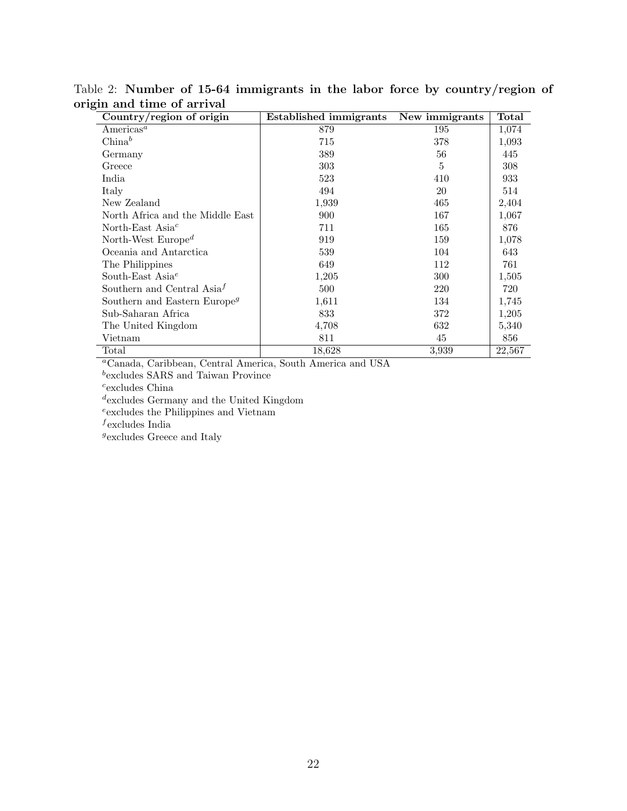| ⊃<br>Country/region of origin                       | <b>Established immigrants</b> | New immigrants | Total  |
|-----------------------------------------------------|-------------------------------|----------------|--------|
| Americas <sup>a</sup>                               | 879                           | 195            | 1,074  |
| $China^b$                                           | 715                           | 378            | 1,093  |
| Germany                                             | 389                           | 56             | 445    |
| Greece                                              | 303                           | 5              | 308    |
| India                                               | 523                           | 410            | 933    |
| Italy                                               | 494                           | 20             | 514    |
| New Zealand                                         | 1,939                         | 465            | 2,404  |
| North Africa and the Middle East                    | 900                           | 167            | 1,067  |
| North-East Asia <sup><math>c</math></sup>           | 711                           | 165            | 876    |
| North-West Europe <sup><math>d</math></sup>         | 919                           | 159            | 1,078  |
| Oceania and Antarctica                              | 539                           | 104            | 643    |
| The Philippines                                     | 649                           | 112            | 761    |
| South-East Asia <sup><math>e</math></sup>           | 1,205                         | 300            | 1,505  |
| Southern and Central Asia <sup><math>f</math></sup> | 500                           | 220            | 720    |
| Southern and Eastern Europe <sup>g</sup>            | 1,611                         | 134            | 1,745  |
| Sub-Saharan Africa                                  | 833                           | 372            | 1,205  |
| The United Kingdom                                  | 4,708                         | 632            | 5,340  |
| Vietnam                                             | 811                           | 45             | 856    |
| Total                                               | 18,628                        | 3.939          | 22,567 |

Table 2: Number of 15-64 immigrants in the labor force by country/region of origin and time of arrival

<sup>a</sup>Canada, Caribbean, Central America, South America and USA

b excludes SARS and Taiwan Province

 $c$ <sub>excludes</sub> China

d excludes Germany and the United Kingdom

e excludes the Philippines and Vietnam

 $f$ excludes India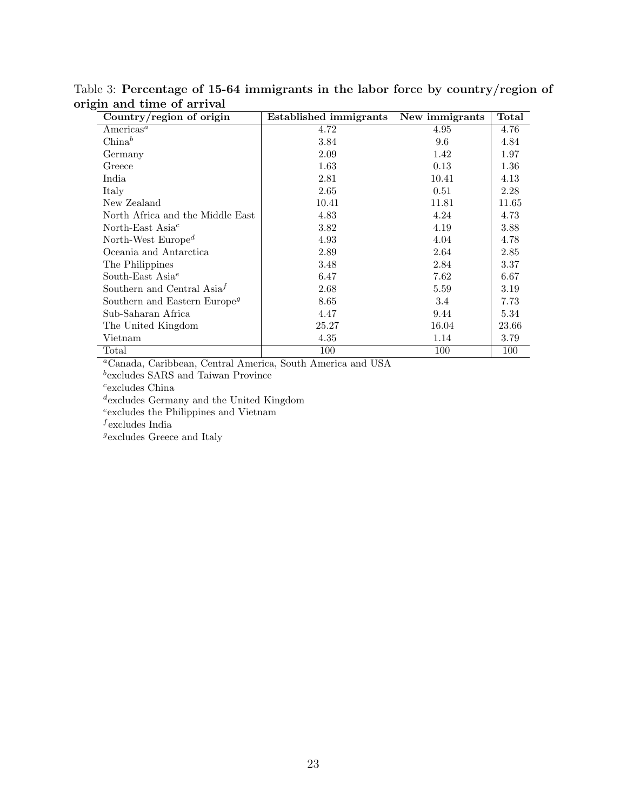| Country/region of origin                            | <b>Established immigrants</b> | New immigrants | Total |
|-----------------------------------------------------|-------------------------------|----------------|-------|
| Americas <sup><math>a</math></sup>                  | 4.72                          | 4.95           | 4.76  |
| $China^b$                                           | 3.84                          | 9.6            | 4.84  |
| Germany                                             | 2.09                          | 1.42           | 1.97  |
| Greece                                              | 1.63                          | 0.13           | 1.36  |
| India                                               | 2.81                          | 10.41          | 4.13  |
| Italy                                               | 2.65                          | 0.51           | 2.28  |
| New Zealand                                         | 10.41                         | 11.81          | 11.65 |
| North Africa and the Middle East                    | 4.83                          | 4.24           | 4.73  |
| North-East Asia <sup><math>c</math></sup>           | 3.82                          | 4.19           | 3.88  |
| North-West Europe <sup>d</sup>                      | 4.93                          | 4.04           | 4.78  |
| Oceania and Antarctica                              | 2.89                          | 2.64           | 2.85  |
| The Philippines                                     | 3.48                          | 2.84           | 3.37  |
| South-East Asia <sup><math>e</math></sup>           | 6.47                          | 7.62           | 6.67  |
| Southern and Central Asia <sup><math>f</math></sup> | 2.68                          | 5.59           | 3.19  |
| Southern and Eastern Europe <sup>g</sup>            | 8.65                          | 3.4            | 7.73  |
| Sub-Saharan Africa                                  | 4.47                          | 9.44           | 5.34  |
| The United Kingdom                                  | 25.27                         | 16.04          | 23.66 |
| Vietnam                                             | 4.35                          | 1.14           | 3.79  |
| Total                                               | 100                           | 100            | 100   |

Table 3: Percentage of 15-64 immigrants in the labor force by country/region of origin and time of arrival

<sup>a</sup>Canada, Caribbean, Central America, South America and USA

b excludes SARS and Taiwan Province

 $c$ <sub>excludes</sub> China

d excludes Germany and the United Kingdom

e excludes the Philippines and Vietnam

 $f$ excludes India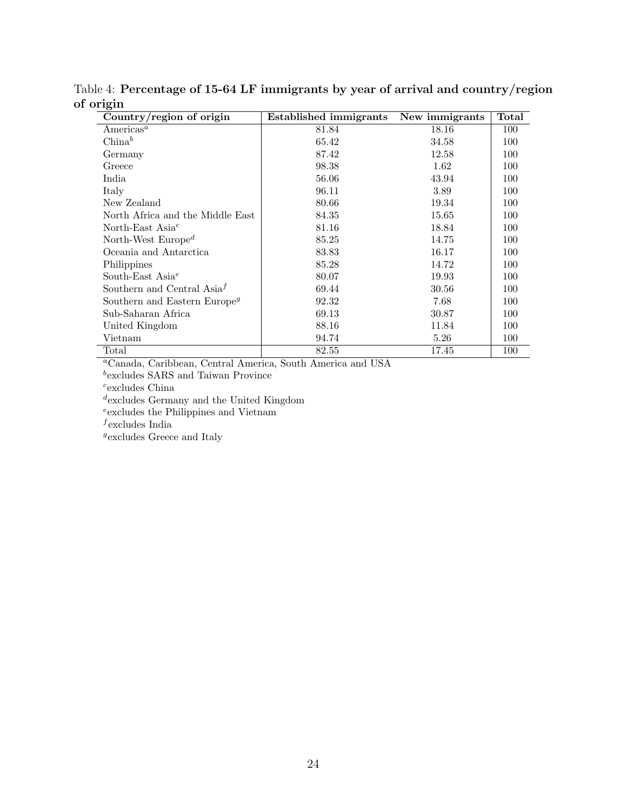| Country/region of origin                            | <b>Established immigrants</b> | New immigrants | Total |
|-----------------------------------------------------|-------------------------------|----------------|-------|
| Americas <sup><math>a</math></sup>                  | 81.84                         | 18.16          | 100   |
| $China^b$                                           | 65.42                         | 34.58          | 100   |
| Germany                                             | 87.42                         | 12.58          | 100   |
| Greece                                              | 98.38                         | 1.62           | 100   |
| India                                               | 56.06                         | 43.94          | 100   |
| Italy                                               | 96.11                         | 3.89           | 100   |
| New Zealand                                         | 80.66                         | 19.34          | 100   |
| North Africa and the Middle East                    | 84.35                         | 15.65          | 100   |
| North-East Asia $^c$                                | 81.16                         | 18.84          | 100   |
| North-West Europe <sup><math>d</math></sup>         | 85.25                         | 14.75          | 100   |
| Oceania and Antarctica                              | 83.83                         | 16.17          | 100   |
| Philippines                                         | 85.28                         | 14.72          | 100   |
| South-East Asia <sup><math>e</math></sup>           | 80.07                         | 19.93          | 100   |
| Southern and Central Asia <sup><math>f</math></sup> | 69.44                         | 30.56          | 100   |
| Southern and Eastern Europe <sup>g</sup>            | 92.32                         | 7.68           | 100   |
| Sub-Saharan Africa                                  | 69.13                         | 30.87          | 100   |
| United Kingdom                                      | 88.16                         | 11.84          | 100   |
| Vietnam                                             | 94.74                         | 5.26           | 100   |
| Total                                               | 82.55                         | 17.45          | 100   |

Table 4: Percentage of 15-64 LF immigrants by year of arrival and country/region of origin

<sup>a</sup>Canada, Caribbean, Central America, South America and USA

b excludes SARS and Taiwan Province

 $c$ <sub>excludes</sub> China

d excludes Germany and the United Kingdom

e excludes the Philippines and Vietnam

 $f$ excludes India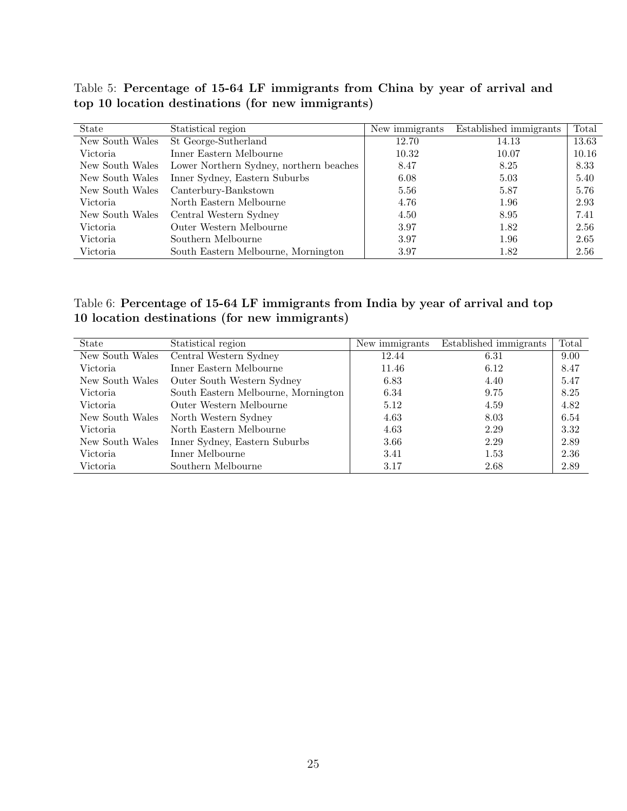Table 5: Percentage of 15-64 LF immigrants from China by year of arrival and top 10 location destinations (for new immigrants)

| <b>State</b>    | Statistical region                      | New immigrants | Established immigrants | Total |
|-----------------|-----------------------------------------|----------------|------------------------|-------|
| New South Wales | St George-Sutherland                    | 12.70          | 14.13                  | 13.63 |
| Victoria.       | Inner Eastern Melbourne                 | 10.32          | 10.07                  | 10.16 |
| New South Wales | Lower Northern Sydney, northern beaches | 8.47           | 8.25                   | 8.33  |
| New South Wales | Inner Sydney, Eastern Suburbs           | 6.08           | 5.03                   | 5.40  |
| New South Wales | Canterbury-Bankstown                    | 5.56           | 5.87                   | 5.76  |
| Victoria        | North Eastern Melbourne                 | 4.76           | 1.96                   | 2.93  |
| New South Wales | Central Western Sydney                  | 4.50           | 8.95                   | 7.41  |
| Victoria        | Outer Western Melbourne                 | 3.97           | 1.82                   | 2.56  |
| Victoria        | Southern Melbourne                      | 3.97           | 1.96                   | 2.65  |
| Victoria        | South Eastern Melbourne, Mornington     | 3.97           | 1.82                   | 2.56  |

#### Table 6: Percentage of 15-64 LF immigrants from India by year of arrival and top 10 location destinations (for new immigrants)

| State           | Statistical region                  | New immigrants | Established immigrants | Total |
|-----------------|-------------------------------------|----------------|------------------------|-------|
| New South Wales | Central Western Sydney              | 12.44          | 6.31                   | 9.00  |
| Victoria.       | Inner Eastern Melbourne             | 11.46          | 6.12                   | 8.47  |
| New South Wales | Outer South Western Sydney          | 6.83           | 4.40                   | 5.47  |
| Victoria        | South Eastern Melbourne, Mornington | 6.34           | 9.75                   | 8.25  |
| Victoria.       | Outer Western Melbourne             | 5.12           | 4.59                   | 4.82  |
| New South Wales | North Western Sydney                | 4.63           | 8.03                   | 6.54  |
| Victoria        | North Eastern Melbourne             | 4.63           | 2.29                   | 3.32  |
| New South Wales | Inner Sydney, Eastern Suburbs       | 3.66           | 2.29                   | 2.89  |
| Victoria        | Inner Melbourne                     | 3.41           | 1.53                   | 2.36  |
| Victoria        | Southern Melbourne                  | 3.17           | 2.68                   | 2.89  |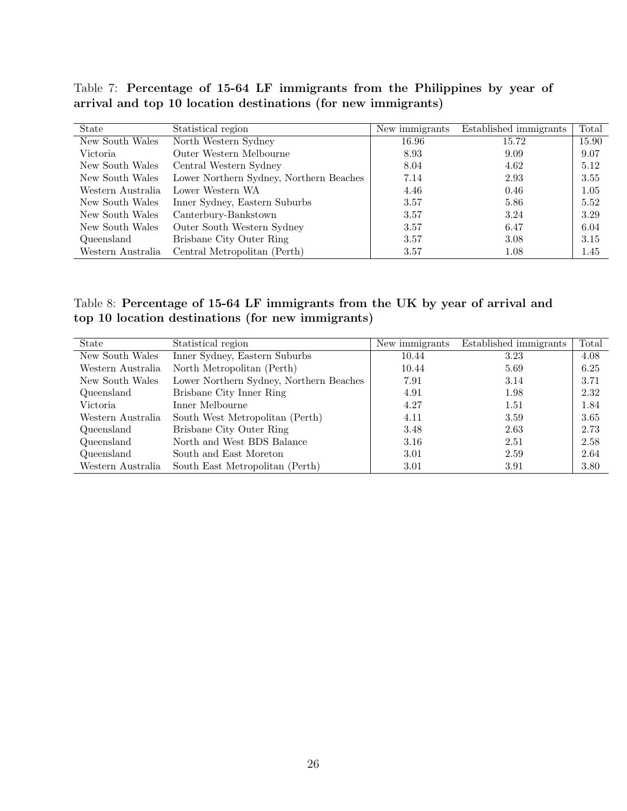Table 7: Percentage of 15-64 LF immigrants from the Philippines by year of arrival and top 10 location destinations (for new immigrants)

| State             | Statistical region                      | New immigrants | Established immigrants | Total |
|-------------------|-----------------------------------------|----------------|------------------------|-------|
| New South Wales   | North Western Sydney                    | 16.96          | 15.72                  | 15.90 |
| Victoria.         | Outer Western Melbourne                 | 8.93           | 9.09                   | 9.07  |
| New South Wales   | Central Western Sydney                  | 8.04           | 4.62                   | 5.12  |
| New South Wales   | Lower Northern Sydney, Northern Beaches | 7.14           | 2.93                   | 3.55  |
| Western Australia | Lower Western WA                        | 4.46           | 0.46                   | 1.05  |
| New South Wales   | Inner Sydney, Eastern Suburbs           | 3.57           | 5.86                   | 5.52  |
| New South Wales   | Canterbury-Bankstown                    | 3.57           | 3.24                   | 3.29  |
| New South Wales   | Outer South Western Sydney              | 3.57           | 6.47                   | 6.04  |
| Queensland        | Brisbane City Outer Ring                | 3.57           | 3.08                   | 3.15  |
| Western Australia | Central Metropolitan (Perth)            | 3.57           | 1.08                   | 1.45  |

Table 8: Percentage of 15-64 LF immigrants from the UK by year of arrival and top 10 location destinations (for new immigrants)

| State             | Statistical region                      | New immigrants | Established immigrants | Total |
|-------------------|-----------------------------------------|----------------|------------------------|-------|
| New South Wales   | Inner Sydney, Eastern Suburbs           | 10.44          | 3.23                   | 4.08  |
| Western Australia | North Metropolitan (Perth)              | 10.44          | 5.69                   | 6.25  |
| New South Wales   | Lower Northern Sydney, Northern Beaches | 7.91           | 3.14                   | 3.71  |
| Queensland        | Brisbane City Inner Ring                | 4.91           | 1.98                   | 2.32  |
| Victoria.         | Inner Melbourne                         | 4.27           | 1.51                   | 1.84  |
| Western Australia | South West Metropolitan (Perth)         | 4.11           | 3.59                   | 3.65  |
| Queensland        | Brisbane City Outer Ring                | 3.48           | 2.63                   | 2.73  |
| Queensland        | North and West BDS Balance              | 3.16           | 2.51                   | 2.58  |
| Queensland        | South and East Moreton                  | 3.01           | 2.59                   | 2.64  |
| Western Australia | South East Metropolitan (Perth)         | 3.01           | 3.91                   | 3.80  |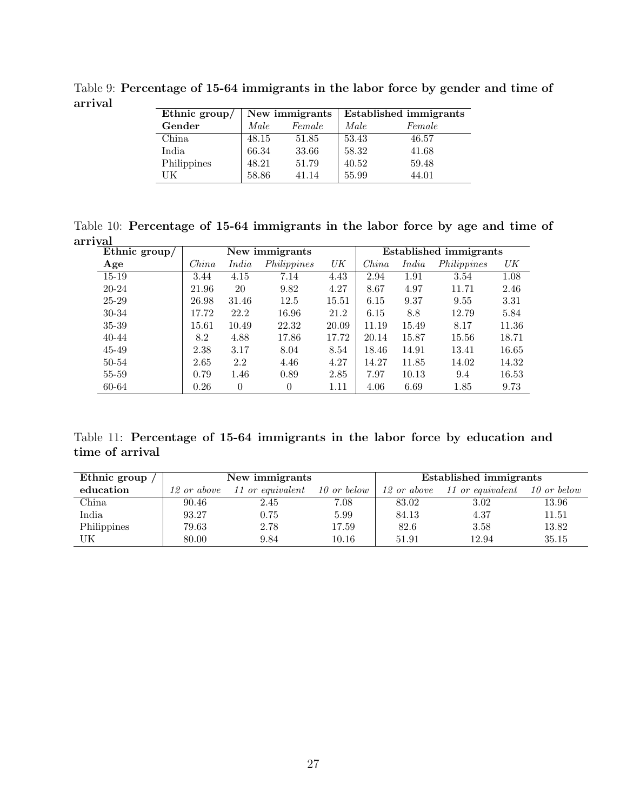Table 9: Percentage of 15-64 immigrants in the labor force by gender and time of arrival

| Ethnic $\text{group}/$ | New immigrants |        | <b>Established immigrants</b> |        |
|------------------------|----------------|--------|-------------------------------|--------|
| Gender                 | Male           | Female | Male                          | Female |
| China                  | 48.15          | 51.85  | 53.43                         | 46.57  |
| India                  | 66.34          | 33.66  | 58.32                         | 41.68  |
| Philippines            | 48.21          | 51.79  | 40.52                         | 59.48  |
| UК                     | 58.86          | 41.14  | 55.99                         | 44.01  |

Table 10: Percentage of 15-64 immigrants in the labor force by age and time of arrival

| Ethnic group/ | New immigrants |          |             |       |       |       | <b>Established immigrants</b> |       |
|---------------|----------------|----------|-------------|-------|-------|-------|-------------------------------|-------|
| Age           | China          | India    | Philippines | UK    | China | India | Philippines                   | UK    |
| $15 - 19$     | 3.44           | 4.15     | 7.14        | 4.43  | 2.94  | 1.91  | 3.54                          | 1.08  |
| 20-24         | 21.96          | 20       | 9.82        | 4.27  | 8.67  | 4.97  | 11.71                         | 2.46  |
| 25-29         | 26.98          | 31.46    | 12.5        | 15.51 | 6.15  | 9.37  | 9.55                          | 3.31  |
| 30-34         | 17.72          | 22.2     | 16.96       | 21.2  | 6.15  | 8.8   | 12.79                         | 5.84  |
| 35-39         | 15.61          | 10.49    | 22.32       | 20.09 | 11.19 | 15.49 | 8.17                          | 11.36 |
| $40 - 44$     | 8.2            | 4.88     | 17.86       | 17.72 | 20.14 | 15.87 | 15.56                         | 18.71 |
| 45-49         | 2.38           | 3.17     | 8.04        | 8.54  | 18.46 | 14.91 | 13.41                         | 16.65 |
| 50-54         | 2.65           | 2.2      | 4.46        | 4.27  | 14.27 | 11.85 | 14.02                         | 14.32 |
| 55-59         | 0.79           | 1.46     | 0.89        | 2.85  | 7.97  | 10.13 | 9.4                           | 16.53 |
| 60-64         | 0.26           | $\Omega$ | $\Omega$    | 1.11  | 4.06  | 6.69  | 1.85                          | 9.73  |

Table 11: Percentage of 15-64 immigrants in the labor force by education and time of arrival

| Ethnic group |             | New immigrants   |             |             | Established immigrants |             |
|--------------|-------------|------------------|-------------|-------------|------------------------|-------------|
| education    | 12 or above | 11 or equivalent | 10 or below | 12 or above | 11 or equivalent       | 10 or below |
| China        | 90.46       | 2.45             | 7.08        | 83.02       | 3.02                   | 13.96       |
| India        | 93.27       | 0.75             | 5.99        | 84.13       | 4.37                   | 11.51       |
| Philippines  | 79.63       | 2.78             | 17.59       | 82.6        | 3.58                   | 13.82       |
| UK           | 80.00       | 9.84             | 10.16       | 51.91       | 12.94                  | 35.15       |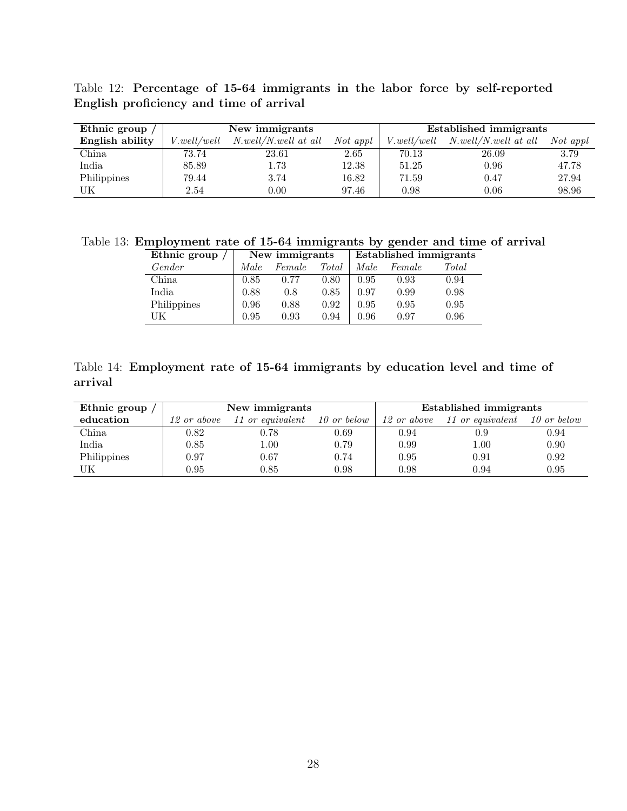| English proficiency and time of arrival |                                                                                       |  |  |                        |  |
|-----------------------------------------|---------------------------------------------------------------------------------------|--|--|------------------------|--|
| Ethnic group                            | New immigrants                                                                        |  |  | Established immigrants |  |
| English ability                         | V.well/well N.well/N.well at all Not appl   V.well/well N.well/N.well at all Not appl |  |  |                        |  |

China 173.74 23.61 2.65 70.13 26.09 3.79

|                                         |  |  |  | Table 12: Percentage of 15-64 immigrants in the labor force by self-reported |
|-----------------------------------------|--|--|--|------------------------------------------------------------------------------|
| English proficiency and time of arrival |  |  |  |                                                                              |

| India       | 85.89 | 570<br>1.IU | 12.38 | 51.25    | 0.96 | 47.78 |
|-------------|-------|-------------|-------|----------|------|-------|
| Philippines | 79.44 | 3.74        | 16.82 | 71.59    | 0.47 | 27.94 |
| UK          | 2.54  | 0.00        | 97.46 | ${0.98}$ | 0.06 | 98.96 |
|             |       |             |       |          |      |       |

Table 13: Employment rate of 15-64 immigrants by gender and time of arrival

| Ethnic group |      | New immigrants |       |      | <b>Established immigrants</b> |       |  |  |
|--------------|------|----------------|-------|------|-------------------------------|-------|--|--|
| Gender       | Male | Female         | Total | Male | Female                        | Total |  |  |
| China        | 0.85 | 0.77           | 0.80  | 0.95 | 0.93                          | 0.94  |  |  |
| India        | 0.88 | 0.8            | 0.85  | 0.97 | 0.99                          | 0.98  |  |  |
| Philippines  | 0.96 | 0.88           | 0.92  | 0.95 | 0.95                          | 0.95  |  |  |
| UK           | 0.95 | 0.93           | 0.94  | 0.96 | 0.97                          | 0.96  |  |  |

|         | Table 14: Employment rate of 15-64 immigrants by education level and time of |  |  |  |  |  |
|---------|------------------------------------------------------------------------------|--|--|--|--|--|
| arrival |                                                                              |  |  |  |  |  |

| Ethnic group |             | New immigrants   |             | Established immigrants |                  |             |  |
|--------------|-------------|------------------|-------------|------------------------|------------------|-------------|--|
| education    | 12 or above | 11 or equivalent | 10 or below | 12 or above            | 11 or equivalent | 10 or below |  |
| China        | 0.82        | 0.78             | 0.69        | 0.94                   | 0.9              | 0.94        |  |
| India        | 0.85        | 1.00             | 0.79        | 0.99                   | 1.00             | 0.90        |  |
| Philippines  | 0.97        | 0.67             | 0.74        | 0.95                   | 0.91             | 0.92        |  |
| UK           | 0.95        | 0.85             | 0.98        | 0.98                   | 0.94             | 0.95        |  |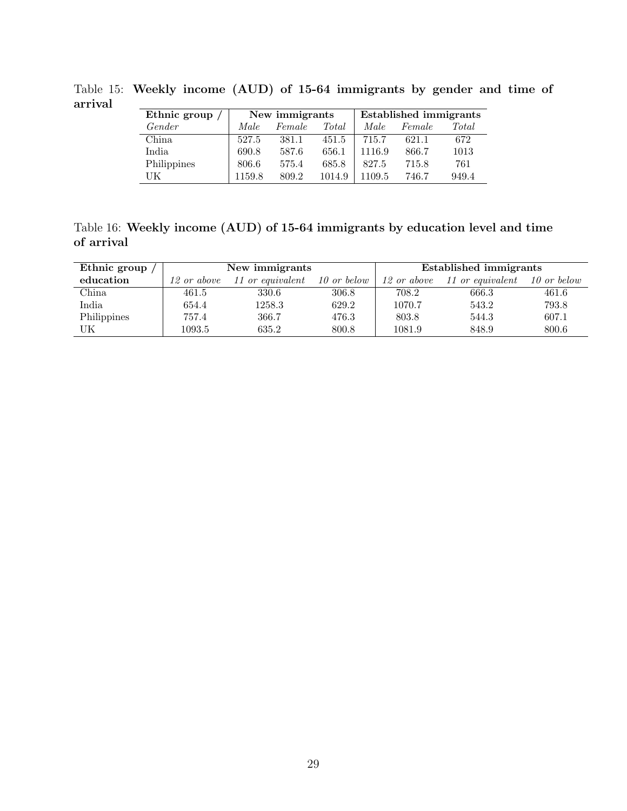| Ethnic group | New immigrants |        |        | <b>Established immigrants</b> |        |       |  |
|--------------|----------------|--------|--------|-------------------------------|--------|-------|--|
| Gender       | Male.          | Female | Total  | Male.                         | Female | Total |  |
| China        | 527.5          | 381.1  | 451.5  | 715.7                         | 621.1  | 672   |  |
| India        | 690.8          | 587.6  | 656.1  | 1116.9                        | 866.7  | 1013  |  |
| Philippines  | 806.6          | 575.4  | 685.8  | 827.5                         | 715.8  | 761   |  |
| UК           | 1159.8         | 809.2  | 1014.9 | 1109.5                        | 746.7  | 949.4 |  |

Table 15: Weekly income (AUD) of 15-64 immigrants by gender and time of arrival

Table 16: Weekly income (AUD) of 15-64 immigrants by education level and time of arrival

| Ethnic group |             | New immigrants   |             | Established immigrants |                  |             |  |
|--------------|-------------|------------------|-------------|------------------------|------------------|-------------|--|
| education    | 12 or above | 11 or equivalent | 10 or below | 12 or above            | 11 or equivalent | 10 or below |  |
| China        | 461.5       | 330.6            | 306.8       | 708.2                  | 666.3            | 461.6       |  |
| India        | 654.4       | 1258.3           | 629.2       | 1070.7                 | 543.2            | 793.8       |  |
| Philippines  | 757.4       | 366.7            | 476.3       | 803.8                  | 544.3            | 607.1       |  |
| UΚ           | 1093.5      | 635.2            | 800.8       | 1081.9                 | 848.9            | 800.6       |  |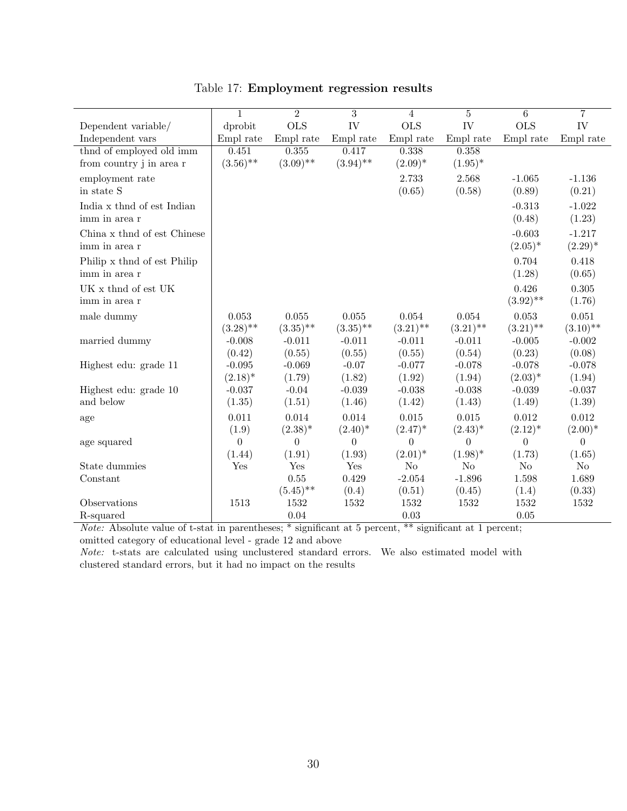|                             | $\mathbf{1}$ | $\overline{2}$ | $\overline{3}$ | 4              | 5           | 6           | $\overline{7}$ |
|-----------------------------|--------------|----------------|----------------|----------------|-------------|-------------|----------------|
| Dependent variable/         | dprobit      | <b>OLS</b>     | IV             | <b>OLS</b>     | IV          | <b>OLS</b>  | IV             |
| Independent vars            | Empl rate    | Empl rate      | Empl rate      | Empl rate      | Empl rate   | Empl rate   | Empl rate      |
| thnd of employed old imm    | 0.451        | 0.355          | 0.417          | 0.338          | 0.358       |             |                |
| from country j in area r    | $(3.56)$ **  | $(3.09)$ **    | $(3.94)$ **    | $(2.09)^*$     | $(1.95)^*$  |             |                |
| employment rate             |              |                |                | 2.733          | 2.568       | $-1.065$    | $-1.136$       |
| in state S                  |              |                |                | (0.65)         | (0.58)      | (0.89)      | (0.21)         |
| India x thnd of est Indian  |              |                |                |                |             | $-0.313$    | $-1.022$       |
| imm in area r               |              |                |                |                |             | (0.48)      | (1.23)         |
| China x thnd of est Chinese |              |                |                |                |             | $-0.603$    | $-1.217$       |
| imm in area r               |              |                |                |                |             | $(2.05)^*$  | $(2.29)^*$     |
| Philip x thnd of est Philip |              |                |                |                |             | 0.704       | 0.418          |
| imm in area r               |              |                |                |                |             | (1.28)      | (0.65)         |
| UK x thnd of est UK         |              |                |                |                |             | 0.426       | 0.305          |
| imm in area r               |              |                |                |                |             | $(3.92)$ ** | (1.76)         |
| male dummy                  | 0.053        | 0.055          | 0.055          | 0.054          | 0.054       | 0.053       | 0.051          |
|                             | $(3.28)$ **  | $(3.35)$ **    | $(3.35)$ **    | $(3.21)$ **    | $(3.21)$ ** | $(3.21)$ ** | $(3.10)$ **    |
| married dummy               | $-0.008$     | $-0.011$       | $-0.011$       | $-0.011$       | $-0.011$    | $-0.005$    | $-0.002$       |
|                             | (0.42)       | (0.55)         | (0.55)         | (0.55)         | (0.54)      | (0.23)      | (0.08)         |
| Highest edu: grade 11       | $-0.095$     | $-0.069$       | $-0.07$        | $-0.077$       | $-0.078$    | $-0.078$    | $-0.078$       |
|                             | $(2.18)^*$   | (1.79)         | (1.82)         | (1.92)         | (1.94)      | $(2.03)^*$  | (1.94)         |
| Highest edu: grade 10       | $-0.037$     | $-0.04$        | $-0.039$       | $-0.038$       | $-0.038$    | $-0.039$    | $-0.037$       |
| and below                   | (1.35)       | (1.51)         | (1.46)         | (1.42)         | (1.43)      | (1.49)      | (1.39)         |
| age                         | 0.011        | 0.014          | 0.014          | 0.015          | 0.015       | 0.012       | 0.012          |
|                             | (1.9)        | $(2.38)^{*}$   | $(2.40)^*$     | $(2.47)^*$     | $(2.43)^*$  | $(2.12)^*$  | $(2.00)*$      |
| age squared                 | 0            | $\theta$       | $\overline{0}$ | $\theta$       | $\theta$    | $\theta$    | $\theta$       |
|                             | (1.44)       | (1.91)         | (1.93)         | $(2.01)^*$     | $(1.98)^*$  | (1.73)      | (1.65)         |
| State dummies               | Yes          | Yes            | Yes            | N <sub>o</sub> | No          | No          | N <sub>o</sub> |
| Constant                    |              | 0.55           | 0.429          | $-2.054$       | $-1.896$    | 1.598       | 1.689          |
|                             |              | $(5.45)$ **    | (0.4)          | (0.51)         | (0.45)      | (1.4)       | (0.33)         |
| Observations                | 1513         | 1532           | 1532           | 1532           | 1532        | 1532        | 1532           |
| R-squared                   |              | 0.04           |                | 0.03           |             | 0.05        |                |

Table 17: Employment regression results

Note: Absolute value of t-stat in parentheses; \* significant at 5 percent, \*\* significant at 1 percent; omitted category of educational level - grade 12 and above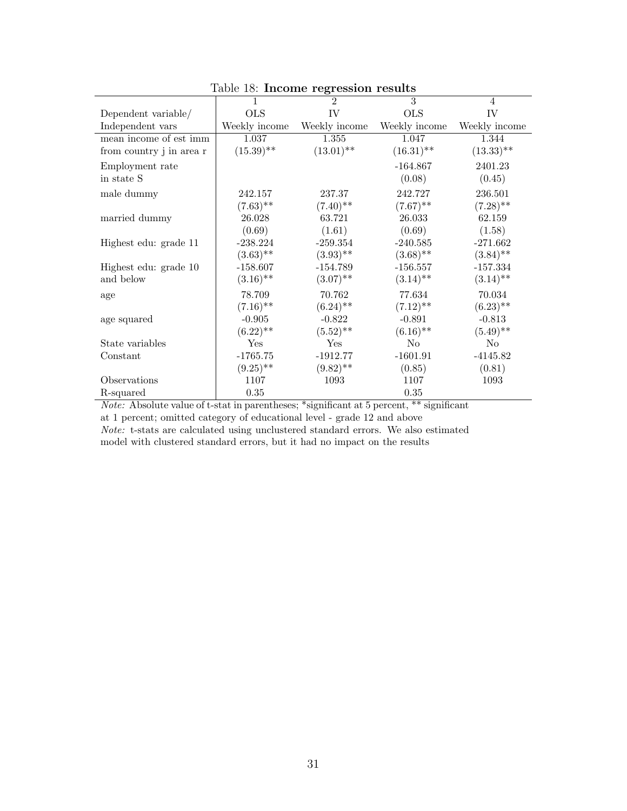|                          | $100 \times 100$ . Income $100 \times 100$<br>1 | $\mathfrak{D}$ | 3             | 4             |
|--------------------------|-------------------------------------------------|----------------|---------------|---------------|
| Dependent variable/      | <b>OLS</b>                                      | IV             | <b>OLS</b>    | IV            |
| Independent vars         | Weekly income                                   | Weekly income  | Weekly income | Weekly income |
| mean income of est imm   | 1.037                                           | 1.355          | 1.047         | 1.344         |
| from country j in area r | $(15.39)$ **                                    | $(13.01)$ **   | $(16.31)$ **  | $(13.33)$ **  |
| Employment rate          |                                                 |                | $-164.867$    | 2401.23       |
| in state S               |                                                 |                | (0.08)        | (0.45)        |
| male dummy               | 242.157                                         | 237.37         | 242.727       | 236.501       |
|                          | $(7.63)$ **                                     | $(7.40)$ **    | $(7.67)$ **   | $(7.28)$ **   |
| married dummy            | 26.028                                          | 63.721         | 26.033        | 62.159        |
|                          | (0.69)                                          | (1.61)         | (0.69)        | (1.58)        |
| Highest edu: grade 11    | $-238.224$                                      | $-259.354$     | $-240.585$    | $-271.662$    |
|                          | $(3.63)$ **                                     | $(3.93)$ **    | $(3.68)$ **   | $(3.84)$ **   |
| Highest edu: grade 10    | $-158.607$                                      | $-154.789$     | $-156.557$    | $-157.334$    |
| and below                | $(3.16)$ **                                     | $(3.07)$ **    | $(3.14)$ **   | $(3.14)$ **   |
| age                      | 78.709                                          | 70.762         | 77.634        | 70.034        |
|                          | $(7.16)$ **                                     | $(6.24)$ **    | $(7.12)$ **   | $(6.23)$ **   |
| age squared              | $-0.905$                                        | $-0.822$       | $-0.891$      | $-0.813$      |
|                          | $(6.22)$ **                                     | $(5.52)$ **    | $(6.16)$ **   | $(5.49)$ **   |
| State variables          | Yes                                             | Yes            | No            | No            |
| Constant                 | $-1765.75$                                      | $-1912.77$     | $-1601.91$    | $-4145.82$    |
|                          | $(9.25)$ **                                     | $(9.82)$ **    | (0.85)        | (0.81)        |
| Observations             | 1107                                            | 1093           | 1107          | 1093          |
| R-squared                | 0.35                                            |                | 0.35          |               |

Table 18: Income regression results

Note: Absolute value of t-stat in parentheses; \*significant at 5 percent, \*\* significant at 1 percent; omitted category of educational level - grade 12 and above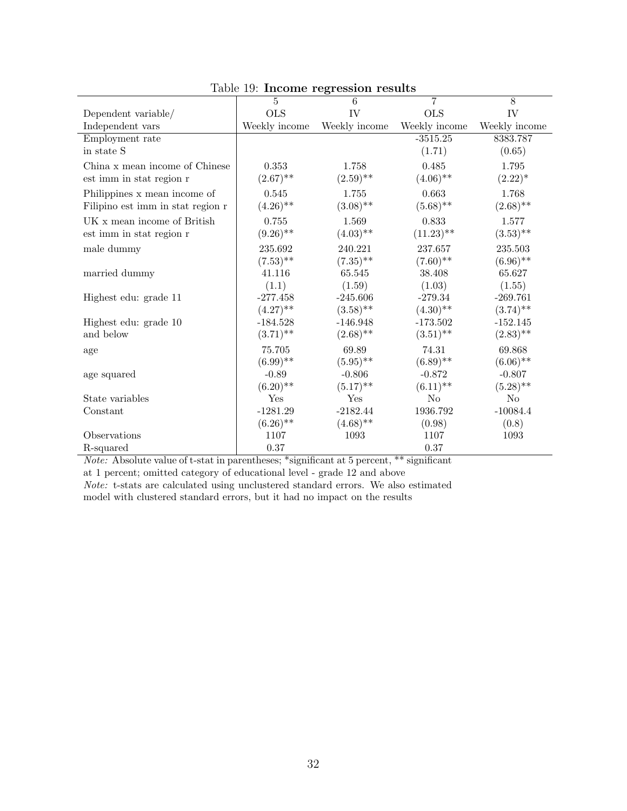|                                   | $_{\rm{r}}$ $_{\rm{c}}$ $_{\rm{r}}$ $_{\rm{r}}$ $_{\rm{r}}$ $_{\rm{r}}$ $_{\rm{r}}$ $_{\rm{r}}$ $_{\rm{r}}$ $_{\rm{r}}$ $_{\rm{r}}$ $_{\rm{r}}$ $_{\rm{r}}$ $_{\rm{r}}$ $_{\rm{r}}$ $_{\rm{r}}$ $_{\rm{r}}$ $_{\rm{r}}$ $_{\rm{r}}$ $_{\rm{r}}$ $_{\rm{r}}$ $_{\rm{r}}$ $_{\rm{r}}$ $_{\rm{r}}$ $_{\rm{r$ |               |                |                |
|-----------------------------------|-----------------------------------------------------------------------------------------------------------------------------------------------------------------------------------------------------------------------------------------------------------------------------------------------------------|---------------|----------------|----------------|
|                                   | $\overline{5}$                                                                                                                                                                                                                                                                                            | 6             | $\overline{7}$ | $\overline{8}$ |
| Dependent variable/               | <b>OLS</b>                                                                                                                                                                                                                                                                                                | IV            | <b>OLS</b>     | IV             |
| Independent vars                  | Weekly income                                                                                                                                                                                                                                                                                             | Weekly income | Weekly income  | Weekly income  |
| Employment rate                   |                                                                                                                                                                                                                                                                                                           |               | $-3515.25$     | 8383.787       |
| in state S                        |                                                                                                                                                                                                                                                                                                           |               | (1.71)         | (0.65)         |
| China x mean income of Chinese    | 0.353                                                                                                                                                                                                                                                                                                     | 1.758         | 0.485          | 1.795          |
| est imm in stat region r          | $(2.67)$ **                                                                                                                                                                                                                                                                                               | $(2.59)$ **   | $(4.06)$ **    | $(2.22)^*$     |
| Philippines x mean income of      | 0.545                                                                                                                                                                                                                                                                                                     | 1.755         | 0.663          | 1.768          |
| Filipino est imm in stat region r | $(4.26)$ **                                                                                                                                                                                                                                                                                               | $(3.08)$ **   | $(5.68)$ **    | $(2.68)$ **    |
| UK x mean income of British       | 0.755                                                                                                                                                                                                                                                                                                     | 1.569         | 0.833          | 1.577          |
| est imm in stat region r          | $(9.26)$ **                                                                                                                                                                                                                                                                                               | $(4.03)$ **   | $(11.23)$ **   | $(3.53)$ **    |
| male dummy                        | 235.692                                                                                                                                                                                                                                                                                                   | 240.221       | 237.657        | 235.503        |
|                                   | $(7.53)$ **                                                                                                                                                                                                                                                                                               | $(7.35)$ **   | $(7.60)$ **    | $(6.96)$ **    |
| married dummy                     | 41.116                                                                                                                                                                                                                                                                                                    | 65.545        | 38.408         | 65.627         |
|                                   | (1.1)                                                                                                                                                                                                                                                                                                     | (1.59)        | (1.03)         | (1.55)         |
| Highest edu: grade 11             | $-277.458$                                                                                                                                                                                                                                                                                                | $-245.606$    | $-279.34$      | $-269.761$     |
|                                   | $(4.27)$ **                                                                                                                                                                                                                                                                                               | $(3.58)$ **   | $(4.30)$ **    | $(3.74)$ **    |
| Highest edu: grade 10             | $-184.528$                                                                                                                                                                                                                                                                                                | $-146.948$    | $-173.502$     | $-152.145$     |
| and below                         | $(3.71)$ **                                                                                                                                                                                                                                                                                               | $(2.68)$ **   | $(3.51)$ **    | $(2.83)$ **    |
| age                               | 75.705                                                                                                                                                                                                                                                                                                    | 69.89         | 74.31          | 69.868         |
|                                   | $(6.99)$ **                                                                                                                                                                                                                                                                                               | $(5.95)$ **   | $(6.89)$ **    | $(6.06)$ **    |
| age squared                       | $-0.89$                                                                                                                                                                                                                                                                                                   | $-0.806$      | $-0.872$       | $-0.807$       |
|                                   | $(6.20)$ **                                                                                                                                                                                                                                                                                               | $(5.17)$ **   | $(6.11)$ **    | $(5.28)$ **    |
| State variables                   | Yes                                                                                                                                                                                                                                                                                                       | Yes           | $\rm No$       | N <sub>o</sub> |
| Constant                          | $-1281.29$                                                                                                                                                                                                                                                                                                | $-2182.44$    | 1936.792       | $-10084.4$     |
|                                   | $(6.26)$ **                                                                                                                                                                                                                                                                                               | $(4.68)$ **   | (0.98)         | (0.8)          |
| Observations                      | 1107                                                                                                                                                                                                                                                                                                      | 1093          | 1107           | 1093           |
| R-squared                         | 0.37                                                                                                                                                                                                                                                                                                      |               | $0.37\,$       |                |

Table 19: Income regression results

Note: Absolute value of t-stat in parentheses; \*significant at 5 percent, \*\* significant at 1 percent; omitted category of educational level - grade 12 and above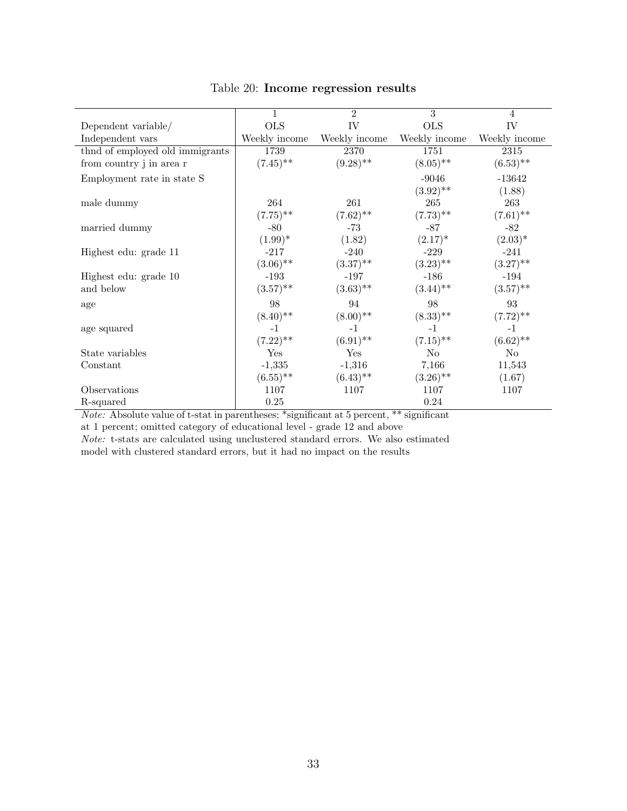|                                  | 1             | $\overline{2}$ | $\overline{3}$ | $\overline{4}$ |
|----------------------------------|---------------|----------------|----------------|----------------|
| Dependent variable/              | <b>OLS</b>    | IV             | <b>OLS</b>     | IV             |
| Independent vars                 | Weekly income | Weekly income  | Weekly income  | Weekly income  |
| thind of employed old immigrants | 1739          | 2370           | 1751           | 2315           |
| from country j in area r         | $(7.45)$ **   | $(9.28)$ **    | $(8.05)$ **    | $(6.53)$ **    |
| Employment rate in state S       |               |                | $-9046$        | $-13642$       |
|                                  |               |                | $(3.92)$ **    | (1.88)         |
| male dummy                       | 264           | 261            | 265            | 263            |
|                                  | $(7.75)$ **   | $(7.62)$ **    | $(7.73)$ **    | $(7.61)$ **    |
| married dummy                    | $-80$         | $-73$          | $-87$          | $-82$          |
|                                  | $(1.99)^*$    | (1.82)         | $(2.17)^{*}$   | $(2.03)^*$     |
| Highest edu: grade 11            | $-217$        | $-240$         | $-229$         | $-241$         |
|                                  | $(3.06)$ **   | $(3.37)$ **    | $(3.23)$ **    | $(3.27)$ **    |
| Highest edu: grade 10            | $-193$        | $-197$         | $-186$         | $-194$         |
| and below                        | $(3.57)$ **   | $(3.63)$ **    | $(3.44)$ **    | $(3.57)$ **    |
| age                              | 98            | 94             | 98             | 93             |
|                                  | $(8.40)$ **   | $(8.00)$ **    | $(8.33)$ **    | $(7.72)$ **    |
| age squared                      | $-1$          | $-1$           | $-1$           | $-1$           |
|                                  | $(7.22)$ **   | $(6.91)$ **    | $(7.15)$ **    | $(6.62)$ **    |
| State variables                  | Yes           | Yes            | No             | No             |
| Constant                         | $-1,335$      | $-1,316$       | 7,166          | 11,543         |
|                                  | $(6.55)$ **   | $(6.43)$ **    | $(3.26)$ **    | (1.67)         |
| Observations                     | 1107          | 1107           | 1107           | 1107           |
| R-squared                        | 0.25          |                | 0.24           |                |

#### Table 20: Income regression results

Note: Absolute value of t-stat in parentheses; \*significant at 5 percent, \*\* significant

at 1 percent; omitted category of educational level - grade 12 and above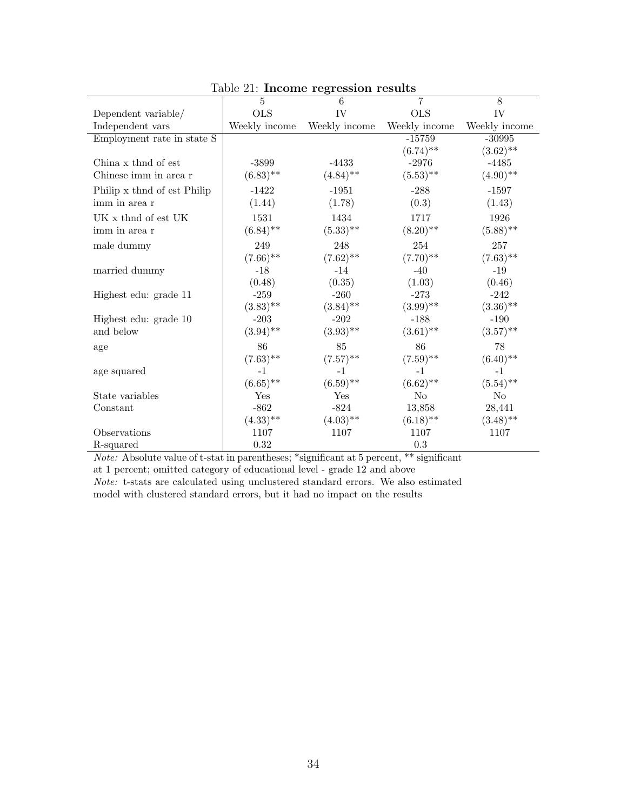|                             | $\overline{5}$ | $\ldots$ moonie regression results<br>6 | $\overline{7}$ | 8             |
|-----------------------------|----------------|-----------------------------------------|----------------|---------------|
| Dependent variable/         | <b>OLS</b>     | IV                                      | <b>OLS</b>     | IV            |
| Independent vars            | Weekly income  | Weekly income                           | Weekly income  | Weekly income |
| Employment rate in state S  |                |                                         | $-15759$       | $-30995$      |
|                             |                |                                         | $(6.74)$ **    | $(3.62)$ **   |
| China x thind of est        | $-3899$        | $-4433$                                 | $-2976$        | $-4485$       |
| Chinese imm in area r       | $(6.83)$ **    | $(4.84)$ **                             | $(5.53)$ **    | $(4.90)$ **   |
| Philip x thnd of est Philip | $-1422$        | $-1951$                                 | $-288$         | $-1597$       |
| imm in area r               | (1.44)         | (1.78)                                  | (0.3)          | (1.43)        |
| UK x thnd of est UK         | 1531           | 1434                                    | 1717           | 1926          |
| imm in area r               | $(6.84)$ **    | $(5.33)$ **                             | $(8.20)$ **    | $(5.88)$ **   |
| male dummy                  | 249            | 248                                     | 254            | 257           |
|                             | $(7.66)$ **    | $(7.62)$ **                             | $(7.70)$ **    | $(7.63)$ **   |
| married dummy               | $-18$          | $-14$                                   | $-40$          | $-19$         |
|                             | (0.48)         | (0.35)                                  | (1.03)         | (0.46)        |
| Highest edu: grade 11       | $-259$         | $-260$                                  | $-273$         | $-242$        |
|                             | $(3.83)$ **    | $(3.84)$ **                             | $(3.99)$ **    | $(3.36)$ **   |
| Highest edu: grade 10       | $-203$         | $-202$                                  | $-188$         | $-190$        |
| and below                   | $(3.94)$ **    | $(3.93)$ **                             | $(3.61)$ **    | $(3.57)$ **   |
| age                         | 86             | 85                                      | 86             | 78            |
|                             | $(7.63)$ **    | $(7.57)$ **                             | $(7.59)$ **    | $(6.40)$ **   |
| age squared                 | $-1$           | $-1$                                    | $-1$           | $-1$          |
|                             | $(6.65)$ **    | $(6.59)$ **                             | $(6.62)$ **    | $(5.54)$ **   |
| State variables             | Yes            | Yes                                     | $\rm No$       | $\rm No$      |
| Constant                    | $-862$         | $-824$                                  | 13,858         | 28,441        |
|                             | $(4.33)$ **    | $(4.03)$ **                             | $(6.18)$ **    | $(3.48)$ **   |
| Observations                | 1107           | 1107                                    | 1107           | 1107          |
| R-squared                   | $\rm 0.32$     |                                         | 0.3            |               |

Table 21: Income regression results

Note: Absolute value of t-stat in parentheses; \*significant at 5 percent, \*\* significant at 1 percent; omitted category of educational level - grade 12 and above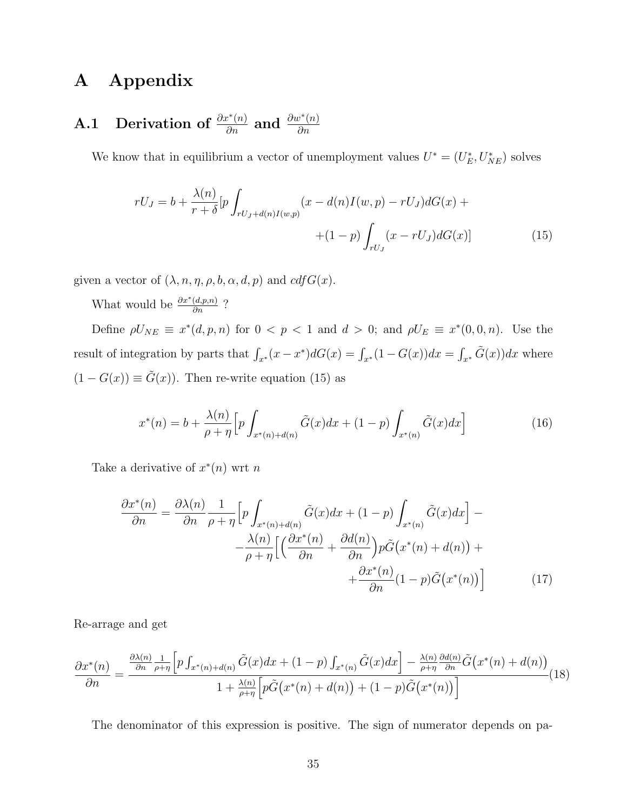## A Appendix

#### A.1 Derivation of  $\frac{\partial x^*(n)}{\partial n}$  and  $\frac{\partial w^*(n)}{\partial n}$ ∂n

We know that in equilibrium a vector of unemployment values  $U^* = (U_E^*, U_{NE}^*)$  solves

$$
rU_J = b + \frac{\lambda(n)}{r+\delta} \left[ p \int_{rU_J + d(n)I(w,p)} (x - d(n)I(w,p) - rU_J) dG(x) + \right. \\ \left. + (1-p) \int_{rU_J} (x - rU_J) dG(x) \right] \tag{15}
$$

given a vector of  $(\lambda, n, \eta, \rho, b, \alpha, d, p)$  and  $cdfG(x)$ .

What would be  $\frac{\partial x^*(d,p,n)}{\partial n}$  ?

Define  $\rho U_{NE} \equiv x^*(d, p, n)$  for  $0 < p < 1$  and  $d > 0$ ; and  $\rho U_E \equiv x^*(0, 0, n)$ . Use the result of integration by parts that  $\int_{x^*} (x - x^*) dG(x) = \int_{x^*} (1 - G(x)) dx = \int_{x^*} \tilde{G}(x) dx$  where  $(1 - G(x)) \equiv \tilde{G}(x)$ . Then re-write equation (15) as

$$
x^*(n) = b + \frac{\lambda(n)}{\rho + \eta} \Big[ p \int_{x^*(n) + d(n)} \tilde{G}(x) dx + (1 - p) \int_{x^*(n)} \tilde{G}(x) dx \Big]
$$
(16)

Take a derivative of  $x^*(n)$  wrt n

$$
\frac{\partial x^*(n)}{\partial n} = \frac{\partial \lambda(n)}{\partial n} \frac{1}{\rho + \eta} \Big[ p \int_{x^*(n) + d(n)} \tilde{G}(x) dx + (1 - p) \int_{x^*(n)} \tilde{G}(x) dx \Big] - \frac{\lambda(n)}{\rho + \eta} \Big[ \Big( \frac{\partial x^*(n)}{\partial n} + \frac{\partial d(n)}{\partial n} \Big) p \tilde{G}(x^*(n) + d(n)) + \frac{\partial x^*(n)}{\partial n} (1 - p) \tilde{G}(x^*(n)) \Big] \tag{17}
$$

Re-arrage and get

$$
\frac{\partial x^*(n)}{\partial n} = \frac{\frac{\partial \lambda(n)}{\partial n} \frac{1}{\rho + \eta} \left[ p \int_{x^*(n) + d(n)} \tilde{G}(x) dx + (1 - p) \int_{x^*(n)} \tilde{G}(x) dx \right] - \frac{\lambda(n)}{\rho + \eta} \frac{\partial d(n)}{\partial n} \tilde{G}(x^*(n) + d(n))}{1 + \frac{\lambda(n)}{\rho + \eta} \left[ p \tilde{G}(x^*(n) + d(n)) + (1 - p) \tilde{G}(x^*(n)) \right]} (18)
$$

The denominator of this expression is positive. The sign of numerator depends on pa-